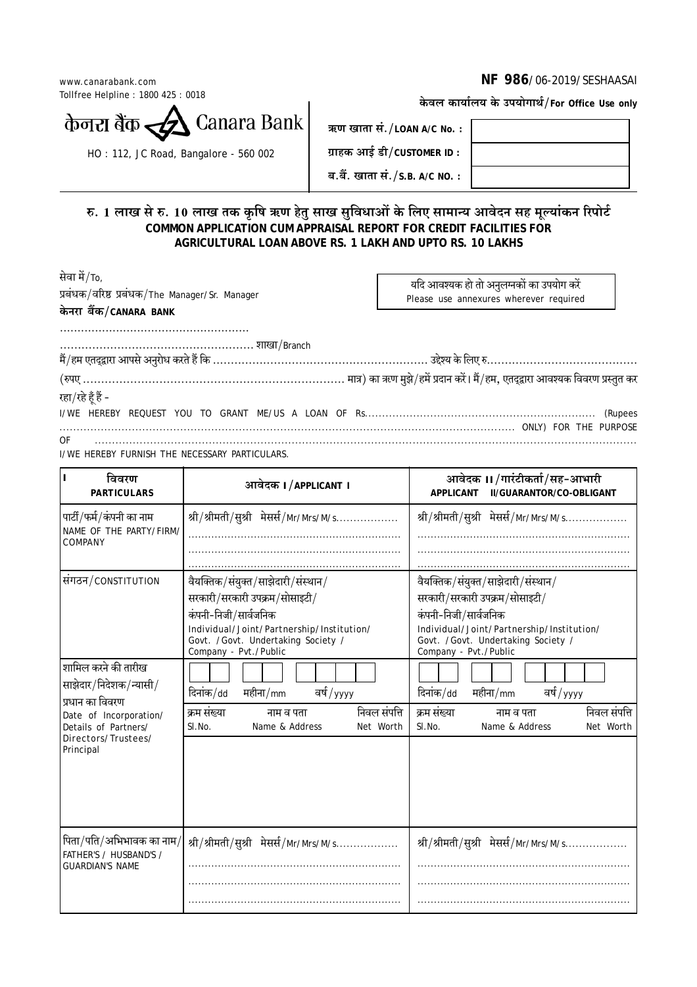www.canarabank.com Tollfree Helpline: 1800 425: 0018

# केनरा बैंक  $\overrightarrow{A}$  Canara Bank

HO: 112, JC Road, Bangalore - 560 002

ऋण खाता सं./LOAN A/C No.:

ग्राहक आई डी/CUSTOMER ID:

ब.बैं. खाता सं./S.B. A/C NO. :

## रु. 1 लाख से रु. 10 लाख तक कृषि ऋण हेतु साख सुविधाओं के लिए सामान्य आवेदन सह मूल्यांकन रिपोर्ट<br>COMMON APPLICATION CUM APPRAISAL REPORT FOR CREDIT FACILITIES FOR AGRICULTURAL LOAN ABOVE RS. 1 LAKH AND UPTO RS. 10 LAKHS

| सेवा में/To,<br>प्रबंधक/वरिष्ठ प्रबंधक/The Manager/Sr. Manager<br>केनरा बैंक/CANARA BANK | यदि आवश्यक हो तो अनुलग्नकों का उपयोग करें<br>Please use annexures wherever required |
|------------------------------------------------------------------------------------------|-------------------------------------------------------------------------------------|
|                                                                                          |                                                                                     |
|                                                                                          |                                                                                     |
|                                                                                          |                                                                                     |
| रहा/रहे हूँ हैं -                                                                        |                                                                                     |
|                                                                                          |                                                                                     |
|                                                                                          |                                                                                     |
| OF.<br>I/WE HEREBY FURNISH THE NECESSARY PARTICULARS.                                    |                                                                                     |

| विवरण<br><b>PARTICULARS</b>                                                                                                     | आवेदक ।/APPLICANT ।                                                                                                                                                                                     | आवेदक ।।/गारंटीकर्ता/सह-आभारी<br>II/GUARANTOR/CO-OBLIGANT<br><b>APPLICANT</b>                                                                                                                           |
|---------------------------------------------------------------------------------------------------------------------------------|---------------------------------------------------------------------------------------------------------------------------------------------------------------------------------------------------------|---------------------------------------------------------------------------------------------------------------------------------------------------------------------------------------------------------|
| पार्टी/फर्म/कंपनी का नाम<br>NAME OF THE PARTY/FIRM/<br>COMPANY                                                                  | श्री/श्रीमती/सुश्री मेसर्स/Mr/Mrs/M/s                                                                                                                                                                   | श्री/श्रीमती/सुश्री मेसर्स/Mr/Mrs/M/s                                                                                                                                                                   |
| संगठन/CONSTITUTION<br>शामिल करने की तारीख                                                                                       | वैयक्तिक/संयुक्त/साझेदारी/संस्थान/<br>सरकारी/सरकारी उपक्रम/सोसाइटी/<br>कंपनी-निजी/सार्वजनिक<br>Individual/Joint/Partnership/Institution/<br>Govt. /Govt. Undertaking Society /<br>Company - Pvt./Public | वैयक्तिक/संयुक्त/साझेदारी/संस्थान/<br>सरकारी/सरकारी उपक्रम/सोसाइटी/<br>कंपनी-निजी/सार्वजनिक<br>Individual/Joint/Partnership/Institution/<br>Govt. /Govt. Undertaking Society /<br>Company - Pvt./Public |
| साझेदार/निदेशक/न्यासी/<br>प्रधान का विवरण<br>Date of Incorporation/<br>Details of Partners/<br>Directors/Trustees/<br>Principal | महीना/mm<br>वर्ष $/$ yyyy<br>दिनांक/dd<br>निवल संपत्ति<br>क्रम संख्या<br>नाम व पता<br>$SI$ . No.<br>Name & Address<br>Net Worth                                                                         | वर्ष $/$ yyyy<br>दिनांक/dd<br>महीना/mm<br>निवल संपत्ति<br>क्रम संख्या<br>नाम व पता<br>$SI$ . No.<br>Name & Address<br>Net Worth                                                                         |
| पिता/पति/अभिभावक का नाम/<br>FATHER'S / HUSBAND'S /<br><b>GUARDIAN'S NAME</b>                                                    | श्री/श्रीमती/सुश्री मेसर्स/Mr/Mrs/M/s                                                                                                                                                                   | श्री/श्रीमती/सुश्री मेसर्स/Mr/Mrs/M/s                                                                                                                                                                   |

NF 986/06-2019/SESHAASAI

केवल कार्यालय के उपयोगार्थ/For Office Use only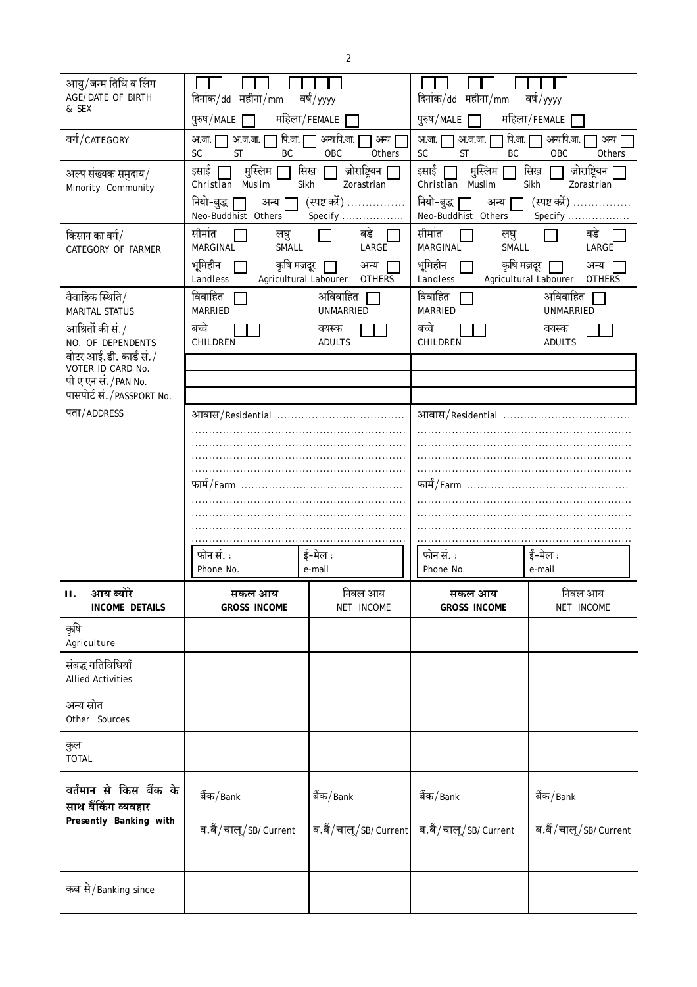| आयु/जन्म तिथि व लिंग<br>AGE/DATE OF BIRTH                            | दिनांक/dd महीना/mm                                                          | वर्ष/уууу                                  | दिनांक/dd महीना/mm                                               | वर्ष/уууу                                      |
|----------------------------------------------------------------------|-----------------------------------------------------------------------------|--------------------------------------------|------------------------------------------------------------------|------------------------------------------------|
| & SEX                                                                | पुरुष/MALE                                                                  | महिला/FEMALE                               | पुरुष/MALE                                                       | महिला/FEMALE                                   |
| वर्ग/CATEGORY                                                        | पि.जा. $\Box$<br>अ.ज.  <br>अ.ज.जा.  <br><b>BC</b><br><b>SC</b><br><b>ST</b> | अन्यपि.जा.<br>अन्य<br>OBC<br>Others        | पि.जा.  <br>अ.जा.  <br>अ.ज.जा. [<br><b>SC</b><br><b>ST</b><br>BC | अन्यपि.जा.<br>अन्य<br>OBC<br>Others            |
| अल्प संख्यक समुदाय/<br>Minority Community                            | मुस्लिम  <br>इसाई<br>Muslim<br>Christian                                    | सिख<br>ज़ोराष्ट्रियन<br>Sikh<br>Zorastrian | इसाई<br>मुस्लिम $\Box$<br>Christian<br>Muslim                    | सिख ∏<br>ज़ोराष्ट्रियन<br>Sikh<br>Zorastrian   |
|                                                                      | नियो-बुद्ध<br>अन्य [<br>Neo-Buddhist Others                                 | (स्पष्ट करें)<br>Specify                   | नियो-बुद्ध $\Box$<br>अन्य $\Box$<br>Neo-Buddhist Others          | (स्पष्ट करें)<br>Specify                       |
| किसान का वर्ग/<br>CATEGORY OF FARMER                                 | सीमांत<br>लघु<br>MARGINAL<br>SMALL                                          | बडे<br>LARGE                               | सीमांत<br>लघु<br>MARGINAL<br>SMALL                               | बडे<br>LARGE                                   |
|                                                                      | भूमिहीन<br>कृषि मज़दूर<br>Agricultural Labourer<br>Landless                 | अन्य<br><b>OTHERS</b>                      | भूमिहीन<br>कृषि मज़दूर<br>Landless                               | अन्य<br>Agricultural Labourer<br><b>OTHERS</b> |
| वैवाहिक स्थिति/<br><b>MARITAL STATUS</b>                             | विवाहित<br><b>MARRIED</b>                                                   | अविवाहित<br>UNMARRIED                      | विवाहित<br><b>MARRIED</b>                                        | अविवाहित<br>UNMARRIED                          |
| आश्रितों की सं./<br>NO. OF DEPENDENTS                                | बच्चे<br>CHILDREN                                                           | वयस्क<br><b>ADULTS</b>                     | बच्चे<br>CHILDREN                                                | वयस्क<br><b>ADULTS</b>                         |
| वोटर आई.डी. कार्ड सं./<br>VOTER ID CARD No.<br>पी ए एन सं. / PAN No. |                                                                             |                                            |                                                                  |                                                |
| पासपोर्ट सं. / PASSPORT No.                                          |                                                                             |                                            |                                                                  |                                                |
| पता/ADDRESS                                                          |                                                                             |                                            |                                                                  |                                                |
|                                                                      |                                                                             |                                            |                                                                  |                                                |
|                                                                      |                                                                             |                                            |                                                                  |                                                |
|                                                                      | फार्म/Farm                                                                  |                                            | फार्म/Farm                                                       |                                                |
|                                                                      |                                                                             |                                            |                                                                  |                                                |
|                                                                      |                                                                             |                                            |                                                                  |                                                |
|                                                                      | फोन सं. :<br>Phone No.                                                      | ई-मेल:<br>e-mail                           | फोन सं. :<br>Phone No.                                           | ई-मेल :<br>e-mail                              |
| आय ब्योरे<br>$\Pi$ .<br><b>INCOME DETAILS</b>                        | सकल आय<br><b>GROSS INCOME</b>                                               | निवल आय<br>NET INCOME                      | सकल आय<br><b>GROSS INCOME</b>                                    | निवल आय<br>NET INCOME                          |
| कृषि<br>Agriculture                                                  |                                                                             |                                            |                                                                  |                                                |
| संबद्ध गतिविधियाँ<br><b>Allied Activities</b>                        |                                                                             |                                            |                                                                  |                                                |
| अन्य स्रोत<br>Other Sources                                          |                                                                             |                                            |                                                                  |                                                |
| कुल<br><b>TOTAL</b>                                                  |                                                                             |                                            |                                                                  |                                                |
| वर्तमान से किस बैंक के<br>साथ बैंकिंग व्यवहार                        | बैंक/Bank                                                                   | बैंक/Bank                                  | बैंक/Bank                                                        | बैंक/Bank                                      |
| Presently Banking with                                               | ब.बैं/चालू/SB/Current                                                       | ब.बैं/चालू/SB/Current                      | ब.बैं/चालू/SB/Current                                            | ब.बैं/चालू/SB/Current                          |
|                                                                      |                                                                             |                                            |                                                                  |                                                |

 $\overline{2}$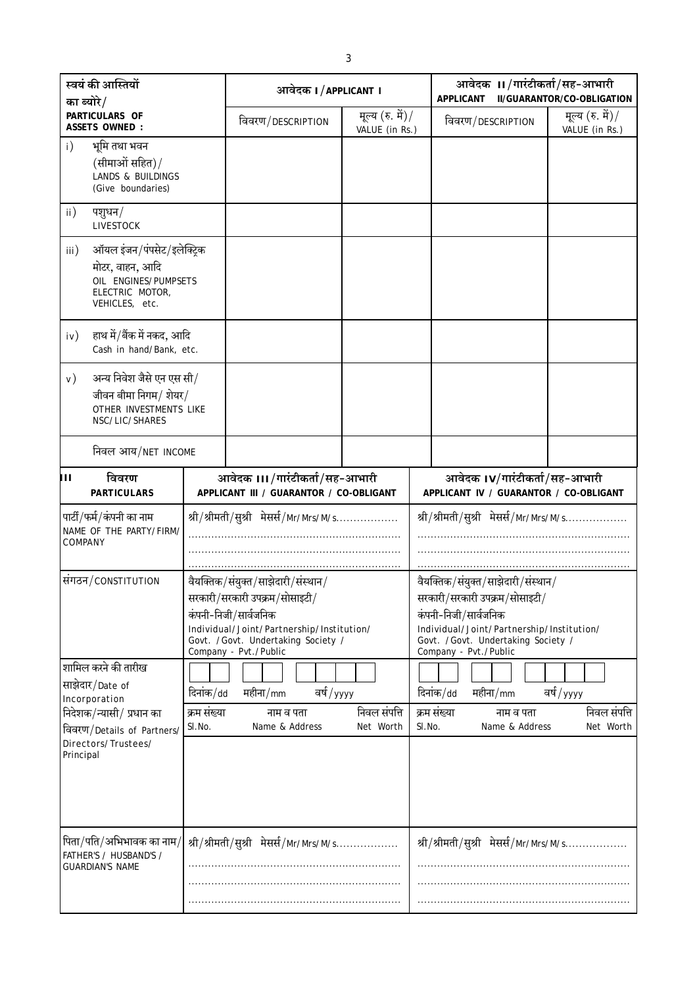| स्वयं की आस्तियों<br>का ब्योरे/                                                                                    |                       | आवेदक ।/APPLICANT ।                                                                                                                                                                                     |                                    |        | आवेदक ।।/गारंटीकर्ता/सह-आभारी<br><b>APPLICANT</b>                                                                                                                                                        | II/GUARANTOR/CO-OBLIGATION         |
|--------------------------------------------------------------------------------------------------------------------|-----------------------|---------------------------------------------------------------------------------------------------------------------------------------------------------------------------------------------------------|------------------------------------|--------|----------------------------------------------------------------------------------------------------------------------------------------------------------------------------------------------------------|------------------------------------|
| PARTICULARS OF<br>ASSETS OWNED :                                                                                   |                       | विवरण/DESCRIPTION                                                                                                                                                                                       | मूल्य (रु. में)/<br>VALUE (in Rs.) |        | विवरण/DESCRIPTION                                                                                                                                                                                        | मूल्य (रु. में)/<br>VALUE (in Rs.) |
| भूमि तथा भवन<br>$\mathbf{i}$<br>(सीमाओं सहित)/<br><b>LANDS &amp; BUILDINGS</b><br>(Give boundaries)                |                       |                                                                                                                                                                                                         |                                    |        |                                                                                                                                                                                                          |                                    |
| पशुधन/<br>ii)<br><b>LIVESTOCK</b>                                                                                  |                       |                                                                                                                                                                                                         |                                    |        |                                                                                                                                                                                                          |                                    |
| ऑयल इंजन/पंपसेट/इलेक्ट्रिक<br>iii)<br>मोटर, वाहन, आदि<br>OIL ENGINES/PUMPSETS<br>ELECTRIC MOTOR,<br>VEHICLES, etc. |                       |                                                                                                                                                                                                         |                                    |        |                                                                                                                                                                                                          |                                    |
| हाथ में/बैंक में नकद, आदि<br>iv)<br>Cash in hand/Bank, etc.                                                        |                       |                                                                                                                                                                                                         |                                    |        |                                                                                                                                                                                                          |                                    |
| अन्य निवेश जैसे एन एस सी/<br>v)<br>जीवन बीमा निगम/ शेयर/<br>OTHER INVESTMENTS LIKE<br>NSC/LIC/SHARES               |                       |                                                                                                                                                                                                         |                                    |        |                                                                                                                                                                                                          |                                    |
| निवल आय/NET INCOME                                                                                                 |                       |                                                                                                                                                                                                         |                                    |        |                                                                                                                                                                                                          |                                    |
| ш<br>विवरण<br><b>PARTICULARS</b>                                                                                   |                       | आवेदक ।।।/गारंटीकर्ता/सह-आभारी<br>APPLICANT III / GUARANTOR / CO-OBLIGANT                                                                                                                               |                                    |        | आवेदक IV/गारंटीकर्ता/सह-आभारी<br>APPLICANT IV / GUARANTOR / CO-OBLIGANT                                                                                                                                  |                                    |
| पार्टी/फर्म/कंपनी का नाम<br>NAME OF THE PARTY/FIRM/<br>COMPANY                                                     |                       | श्री/श्रीमती/सुश्री मेसर्स/Mr/Mrs/M/s                                                                                                                                                                   |                                    |        | श्री/श्रीमती/सुश्री मेसर्स/Mr/Mrs/M/s………………                                                                                                                                                              |                                    |
| संगठन/constitution                                                                                                 |                       | वैयक्तिक/संयुक्त/साझेदारी/संस्थान/<br>सरकारी/सरकारी उपक्रम/सोसाइटी/<br>कंपनी-निजी/सार्वजनिक<br>Individual/Joint/Partnership/Institution/<br>Govt. /Govt. Undertaking Society /<br>Company - Pvt./Public |                                    |        | वैयक्तिक/संयुक्त/साझेदारी/संस्थान/<br>सरकारी/सरकारी उपक्रम/सोसाइटी/<br>कंपनी-निजी/सार्वजनिक<br>Individual/Joint/Partnership/Institution/<br>Govt. / Govt. Undertaking Society /<br>Company - Pvt./Public |                                    |
| शामिल करने की तारीख<br>साझेदार/Date of<br>Incorporation                                                            | दिनांक/dd             | वर्ष/уууу<br>महीना/mm                                                                                                                                                                                   |                                    |        | दिनांक/dd<br>महीना/mm                                                                                                                                                                                    | वर्ष/уууу                          |
| निदेशक/न्यासी/ प्रधान का<br>विवरण/Details of Partners/<br>Directors/Trustees/<br>Principal                         | क्रम संख्या<br>SI.No. | नाम व पता<br>Name & Address                                                                                                                                                                             | निवल संपत्ति<br>Net Worth          | SI.No. | क्रम संख्या<br>नाम व पता<br>Name & Address                                                                                                                                                               | निवल संपत्ति<br>Net Worth          |
|                                                                                                                    |                       |                                                                                                                                                                                                         |                                    |        |                                                                                                                                                                                                          |                                    |
| पिता/पति/अभिभावक का नाम/<br>FATHER'S / HUSBAND'S /<br>GUARDIAN'S NAME                                              |                       | श्री/श्रीमती/सुश्री मेसर्स/Mr/Mrs/M/s                                                                                                                                                                   |                                    |        | श्री/श्रीमती/सुश्री मेसर्स/Mr/Mrs/M/s                                                                                                                                                                    |                                    |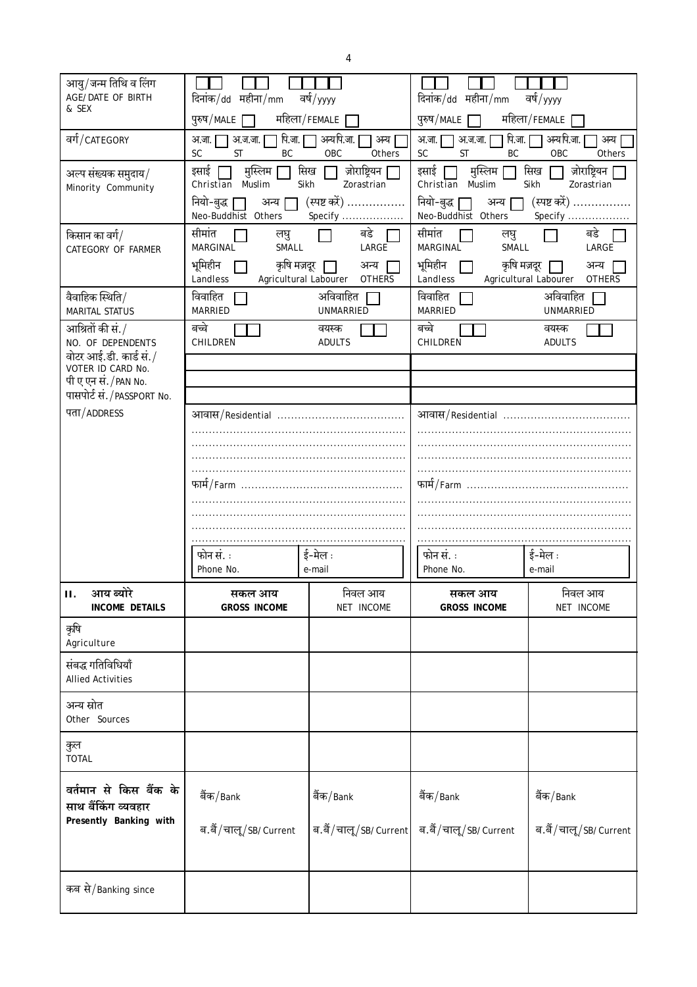| आयु/जन्म तिथि व लिंग<br>AGE/DATE OF BIRTH                            | दिनांक/dd महीना/mm                                             | वर्ष/yyyy                                  | दिनांक/dd महीना/mm                                                           | वर्ष/уууу                                      |
|----------------------------------------------------------------------|----------------------------------------------------------------|--------------------------------------------|------------------------------------------------------------------------------|------------------------------------------------|
| & SEX                                                                | पुरुष/MALE                                                     | महिला/FEMALE                               | पुरुष/MALE                                                                   | महिला/FEMALE                                   |
| वर्ग/CATEGORY                                                        | <u> पि.जा.  </u><br>अ.ज.  <br>अ.ज.जा.<br>SC<br><b>ST</b><br>BC | अन्यपि.जा.<br>अन्य<br>OBC<br>Others        | पि.जा. [<br>अ.जा. <b> </b><br>अ.ज.जा.<br><b>SC</b><br><b>ST</b><br><b>BC</b> | अन्यपि.जा.<br>अन्य<br>OBC<br>Others            |
| अल्प संख्यक समुदाय/<br>Minority Community                            | मुस्लिम<br>इसाई<br>Christian<br>Muslim                         | सिख<br>ज़ोराष्ट्रियन<br>Sikh<br>Zorastrian | इसाई<br>मुस्लिम<br>Christian<br>Muslim                                       | सिख<br>ज़ोराष्ट्रियन<br>Sikh<br>Zorastrian     |
|                                                                      | नियो-बुद्ध [<br>अन्य $\Box$<br>Neo-Buddhist Others             | (स्पष्ट करें)<br>Specify                   | नियो-बुद्ध $\Box$<br>अन्य [<br>Neo-Buddhist Others                           | (स्पष्ट करें)<br>Specify                       |
| किसान का वर्ग/<br>CATEGORY OF FARMER                                 | सीमांत<br>लघु<br><b>MARGINAL</b><br>SMALL                      | बडे<br>LARGE                               | सीमांत<br>लघु<br>MARGINAL<br>SMALL                                           | बडे<br>LARGE                                   |
|                                                                      | कृषि मज़दूर<br>भूमिहीन<br>Landless<br>Agricultural Labourer    | अन्य<br><b>OTHERS</b>                      | कृषि मज़दूर<br>भूमिहीन<br>Landless                                           | अन्य<br>Agricultural Labourer<br><b>OTHERS</b> |
| वैवाहिक स्थिति/<br><b>MARITAL STATUS</b>                             | विवाहित<br><b>MARRIED</b>                                      | अविवाहित<br>UNMARRIED                      | विवाहित<br><b>MARRIED</b>                                                    | अविवाहित<br>UNMARRIED                          |
| आश्रितों की सं./<br>NO. OF DEPENDENTS                                | बच्चे<br>CHILDREN                                              | वयस्क<br><b>ADULTS</b>                     | बच्चे<br>CHILDREN                                                            | वयस्क<br><b>ADULTS</b>                         |
| वोटर आई.डी. कार्ड सं./<br>VOTER ID CARD No.<br>पी ए एन सं. / PAN No. |                                                                |                                            |                                                                              |                                                |
| पासपोर्ट सं./PASSPORT No.                                            |                                                                |                                            |                                                                              |                                                |
| पता/ADDRESS                                                          |                                                                |                                            |                                                                              |                                                |
|                                                                      |                                                                |                                            |                                                                              |                                                |
|                                                                      |                                                                |                                            |                                                                              |                                                |
|                                                                      |                                                                |                                            |                                                                              |                                                |
|                                                                      |                                                                |                                            |                                                                              |                                                |
|                                                                      |                                                                |                                            |                                                                              |                                                |
|                                                                      | फोन सं. :<br>Phone No.                                         | ई-मेल:<br>e-mail                           | फोन सं. :<br>Phone No.                                                       | ई-मेल:<br>e-mail                               |
| आय ब्योरे<br>$\Pi$ .<br><b>INCOME DETAILS</b>                        | सकल आय<br><b>GROSS INCOME</b>                                  | निवल आय<br>NET INCOME                      | सकल आय<br><b>GROSS INCOME</b>                                                | निवल आय<br>NET INCOME                          |
| कृषि<br>Agriculture                                                  |                                                                |                                            |                                                                              |                                                |
| संबद्ध गतिविधियाँ<br><b>Allied Activities</b>                        |                                                                |                                            |                                                                              |                                                |
| अन्य स्रोत<br>Other Sources                                          |                                                                |                                            |                                                                              |                                                |
| कुल<br><b>TOTAL</b>                                                  |                                                                |                                            |                                                                              |                                                |
| वर्तमान से किस बैंक के<br>साथ बैंकिंग व्यवहार                        | बैंक/Bank                                                      | बैंक/Bank                                  | बैंक/Bank                                                                    | बैंक/Bank                                      |
|                                                                      |                                                                |                                            |                                                                              |                                                |
| Presently Banking with                                               | ब.बैं/चालू/SB/Current                                          | ब.बैं/चालू/SB/Current                      | ब.बैं/चालू/SB/Current                                                        | ब.बैं/चालू/SB/Current                          |

 $\overline{4}$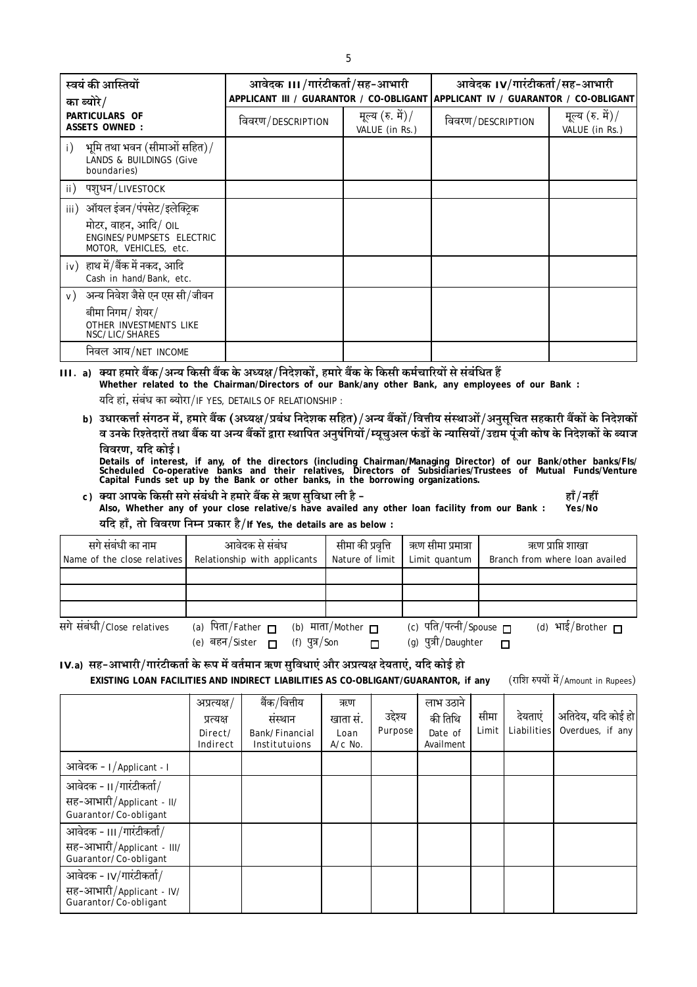| स्वयं की आस्तियों<br>का ब्योरे/                                                                         | आवेदक ।।।/गारंटीकर्ता/सह-आभारी<br>APPLICANT III / GUARANTOR / CO-OBLIGANT |                                    | आवेदक IV/गारंटीकर्ता/सह-आभारी<br>APPLICANT IV / GUARANTOR / CO-OBLIGANT |                                    |
|---------------------------------------------------------------------------------------------------------|---------------------------------------------------------------------------|------------------------------------|-------------------------------------------------------------------------|------------------------------------|
| PARTICULARS OF<br>ASSETS OWNED:                                                                         | विवरण/DESCRIPTION                                                         | मूल्य (रु. में)/<br>VALUE (in Rs.) | विवरण/DESCRIPTION                                                       | मूल्य (रु. में)/<br>VALUE (in Rs.) |
| भूमि तथा भवन (सीमाओं सहित)/<br>i)<br>LANDS & BUILDINGS (Give<br>boundaries)                             |                                                                           |                                    |                                                                         |                                    |
| ii) पशुधन/LIVESTOCK                                                                                     |                                                                           |                                    |                                                                         |                                    |
| iii) ऑयल इंजन/पंपसेट/इलेक्ट्रिक                                                                         |                                                                           |                                    |                                                                         |                                    |
| मोटर, वाहन, आदि/ OIL<br>ENGINES/PUMPSETS ELECTRIC<br>MOTOR, VEHICLES, etc.                              |                                                                           |                                    |                                                                         |                                    |
| iv) हाथ में/बैंक में नकद, आदि<br>Cash in hand/Bank, etc.                                                |                                                                           |                                    |                                                                         |                                    |
| अन्य निवेश जैसे एन एस सी/जीवन<br>$\vee$<br>बीमा निगम/ शेयर/<br>OTHER INVESTMENTS LIKE<br>NSC/LIC/SHARES |                                                                           |                                    |                                                                         |                                    |
| निवल आय/NET INCOME                                                                                      |                                                                           |                                    |                                                                         |                                    |

।।।. a) क्या हमारे बैंक/अन्य किसी बैंक के अध्यक्ष/निदेशकों. हमारे बैंक के किसी कर्मचारियों से संबंधित हैं Whether related to the Chairman/Directors of our Bank/any other Bank, any employees of our Bank : यदि हां, संबंध का ब्योरा/IF YES, DETAILS OF RELATIONSHIP :

b) उधारकर्त्ता संगठन में, हमारे बैंक (अध्यक्ष/प्रबंध निदेशक सहित)/अन्य बैंकों/वित्तीय संस्थाओं/अनुसुचित सहकारी बैंकों के निदेशकों व उनके रिश्तेदारों तथा बैंक या अन्य बैंकों द्वारा स्थापित अनुषंगियों/म्यूचुअल फंडों के न्यासियों/उद्यम पूंजी कोष के निदेशकों के ब्याज विवरण, यदि कोई।

Details of interest, if any, of the directors (including Chairman/Managing Director) of our Bank/other banks/Fls/<br>Scheduled Co-operative banks and their relatives, Directors of Subsidiaries/Trustees of Mutual Funds/Venture

c) क्या आपके किसी सगे संबंधी ने हमारे बैंक से ऋण सुविधा ली है -हाँ / नहीं Also, Whether any of your close relative/s have availed any other loan facility from our Bank : Yes/No  $\overline{a}$  and  $\overline{a}$  and  $\overline{a}$  and  $\overline{a}$  and  $\overline{a}$  and  $\overline{a}$  and  $\overline{a}$  and  $\overline{a}$  and  $\overline{a}$  and  $\overline{a}$ 

|                             | $\mathbf{u}$ , $\mathbf{v}$ , $\mathbf{u}$ , $\mathbf{u}$ , $\mathbf{u}$ , $\mathbf{v}$ , $\mathbf{v}$ , $\mathbf{v}$ , $\mathbf{u}$ , $\mathbf{v}$ , $\mathbf{u}$ , $\mathbf{v}$ , $\mathbf{u}$ , $\mathbf{v}$ , $\mathbf{u}$ , $\mathbf{v}$ , $\mathbf{v}$ , $\mathbf{v}$ , $\mathbf{v}$ , $\mathbf{v}$ , |                   |                   |                        |
|-----------------------------|-------------------------------------------------------------------------------------------------------------------------------------------------------------------------------------------------------------------------------------------------------------------------------------------------------------|-------------------|-------------------|------------------------|
| सगे संबंधी का नाम           | आवेदक से संबंध                                                                                                                                                                                                                                                                                              | सीमा की प्रवृत्ति | ऋण सीमा प्रमात्रा | ऋण प्राप्ति शाखा       |
| Name of the close relatives | Relationship with applicants                                                                                                                                                                                                                                                                                | Nature of limit 1 | Limit quantum     | Branch from where loar |
|                             |                                                                                                                                                                                                                                                                                                             |                   |                   |                        |
|                             |                                                                                                                                                                                                                                                                                                             |                   |                   |                        |

| सगे संबंधी/Close relatives |                                     | (a) पिता/Father □ (b) माता/Mother □ | (c) पति/पत्नी/Spouse <b>⊓</b> | (d) भाई/Brother <b>⊓</b> |
|----------------------------|-------------------------------------|-------------------------------------|-------------------------------|--------------------------|
|                            | (e) बहन/Sister $\Box$ (f) पुत्र/Son | $\Box$                              | (g) पुत्री/Daughter □         |                          |

IV.a) सह-आभारी/गारंटीकर्ता के रूप में वर्तमान ऋण सुविधाएं और अप्रत्यक्ष देयताएं, यदि कोई हो (राशि रुपयों में/Amount in Rupees) EXISTING LOAN FACILITIES AND INDIRECT LIABILITIES AS CO-OBLIGANT/GUARANTOR, if any

अप्रत्यक्ष/ बैंक/वित्तीय लाभ उठाने ऋण अतिदेय, यदि कोई हो उद्देश्य सीमा देयताएं की तिथि प्रत्यक्ष संस्थान खाता सं. Limit Liabilities Overdues, if any Purpose Direct/ Bank/Financial Loan Date of Indirect Institutuions A/c No. Availment आवेदक - I/Applicant - I आवेदक - 11/गारंटीकर्ता/ सह-आभारी/Applicant - II/ Guarantor/Co-obligant आवेदक - ।।।/गारंटीकर्ता/ सह-आभारी/Applicant - III/ Guarantor/Co-obligant आवेदक - IV/गारंटीकर्ता/ सह-आभारी/Applicant - IV/ Guarantor/Co-obligant

loan availed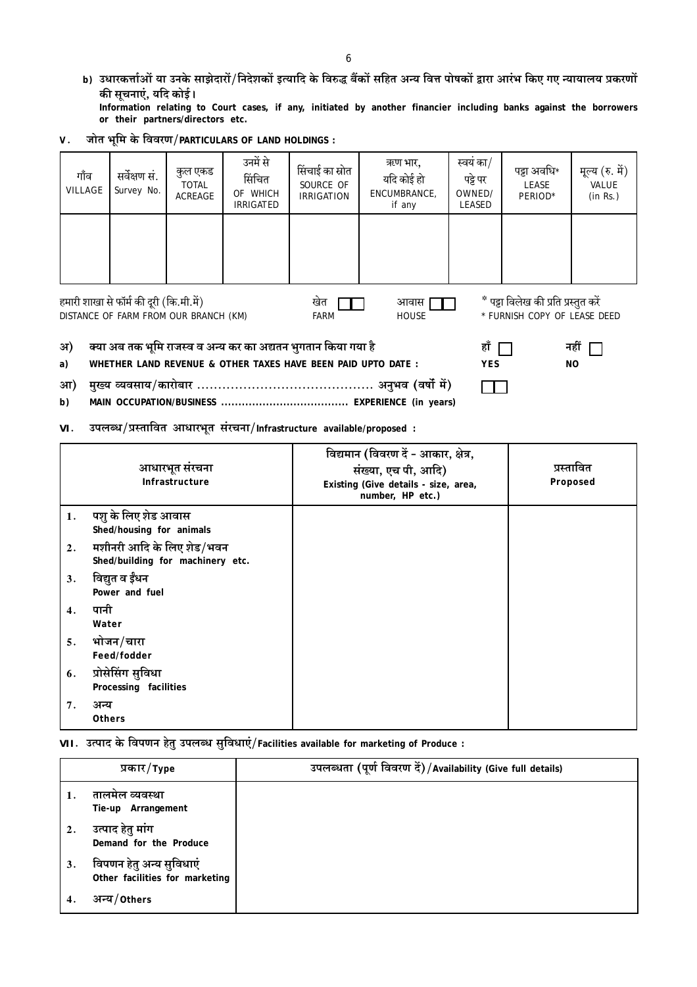b) उधारकर्त्ताओं या उनके साझेदारों/निदेशकों इत्यादि के विरुद्ध बैंकों सहित अन्य वित्त पोषकों द्वारा आरंभ किए गए न्यायालय प्रकरणों की सूचनाएं, यदि कोई।

Information relating to Court cases, if any, initiated by another financier including banks against the borrowers or their partners/directors etc.

जोत भूमि के विवरण/PARTICULARS OF LAND HOLDINGS :  $V.$ 

| गाँव<br>VILLAGE | सर्वेक्षण सं.<br>Survey No. | कुल एकड<br>TOTAL<br>ACREAGE | उनमें से<br>सिंचित<br>WHICH<br>0F<br><b>IRRIGATED</b> | सिंचाई का स्रोत<br>SOURCE OF<br><b>IRRIGATION</b> | ऋण भार,<br>यदि कोई हो<br>ENCUMBRANCE,<br>if any | स्वय का/<br>पट्टे पर<br>OWNED/<br>LEASED | पट्टा अवधि*<br>LEASE<br>PERIOD* | मूल्य (रु. में)<br><b>VALUE</b><br>(in Rs.) |
|-----------------|-----------------------------|-----------------------------|-------------------------------------------------------|---------------------------------------------------|-------------------------------------------------|------------------------------------------|---------------------------------|---------------------------------------------|
|                 |                             |                             |                                                       |                                                   |                                                 |                                          |                                 |                                             |

| हमारी शाखा से फॉर्म की दूरी (कि.मी.में) | खत   | आवास । | ँ* पट्टा विलेख की प्रति प्रस्तुत करें |
|-----------------------------------------|------|--------|---------------------------------------|
| DISTANCE OF FARM FROM OUR BRANCH (KM)   | FARM | HOUSE  | * FURNISH COPY OF LEASE DEED          |
|                                         |      |        |                                       |

हां [

**YES** 

 $\perp$ 

नहीं

**NO** 

अ) क्या अब तक भूमि राजस्व व अन्य कर का अद्यतन भुगतान किया गया है

WHETHER LAND REVENUE & OTHER TAXES HAVE BEEN PAID UPTO DATE :  $a)$ 

आ)

b)

उपलब्ध/प्रस्तावित आधारभूत संरचना/Infrastructure available/proposed : VI.

|    | आधारभूत संरचना<br>Infrastructure | विद्यमान (विवरण दें - आकार, क्षेत्र,<br>संख्या, एच पी, आदि)<br>Existing (Give details - size, area,<br>number, HP etc.) | प्रस्तावित<br>Proposed |
|----|----------------------------------|-------------------------------------------------------------------------------------------------------------------------|------------------------|
| 1. | पशु के लिए शेड आवास              |                                                                                                                         |                        |
|    | Shed/housing for animals         |                                                                                                                         |                        |
| 2. | मशीनरी आदि के लिए शेड/भवन        |                                                                                                                         |                        |
|    | Shed/building for machinery etc. |                                                                                                                         |                        |
| 3. | विद्युत व ईंधन                   |                                                                                                                         |                        |
|    | Power and fuel                   |                                                                                                                         |                        |
| 4. | पानी                             |                                                                                                                         |                        |
|    | Water                            |                                                                                                                         |                        |
| 5. | भोजन/चारा                        |                                                                                                                         |                        |
|    | Feed/fodder                      |                                                                                                                         |                        |
| 6. | प्रोसेसिंग सुविधा                |                                                                                                                         |                        |
|    | Processing facilities            |                                                                                                                         |                        |
| 7. | अन्य                             |                                                                                                                         |                        |
|    | Others                           |                                                                                                                         |                        |

VII. उत्पाद के विपणन हेतु उपलब्ध सुविधाएं/Facilities available for marketing of Produce :

|    | प्रकार/Type                                                | उपलब्धता (पूर्ण विवरण दें)/Availability (Give full details) |
|----|------------------------------------------------------------|-------------------------------------------------------------|
| 1. | तालमेल व्यवस्था<br>Tie-up Arrangement                      |                                                             |
| 2. | उत्पाद हेतु मांग<br>Demand for the Produce                 |                                                             |
| 3. | विपणन हेतु अन्य सुविधाएं<br>Other facilities for marketing |                                                             |
|    | अन्य/Others                                                |                                                             |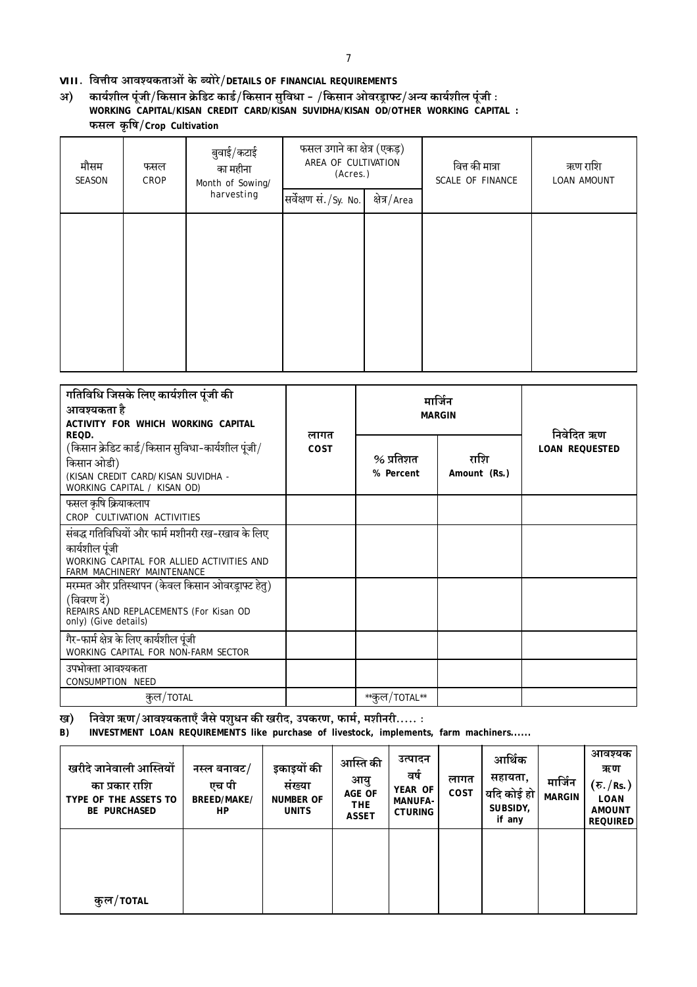## VIII. वित्तीय आवश्यकताओं के ब्योरे/DETAILS OF FINANCIAL REQUIREMENTS

#### : कार्यशील पूंजी/किसान क्रेडिट कार्ड/किसान सुविधा - /किसान ओवरड़ाफ्ट/अन्य कार्यशील पूंजी अ) WORKING CAPITAL/KISAN CREDIT CARD/KISAN SUVIDHA/KISAN OD/OTHER WORKING CAPITAL : फसल कृषि/Crop Cultivation

| मौसम<br>SEASON | फसल<br>CROP | बुवाई/कटाई<br>का महीना<br>Month of Sowing/<br>harvesting | फसल उगाने का क्षेत्र (एकड़)<br>AREA OF CULTIVATION<br>(Acres.) |              | वित्त की मात्रा<br>SCALE OF FINANCE | ऋण राशि<br><b>LOAN AMOUNT</b> |
|----------------|-------------|----------------------------------------------------------|----------------------------------------------------------------|--------------|-------------------------------------|-------------------------------|
|                |             |                                                          | सर्वेक्षण सं./Sy. No.                                          | क्षेत्र/Area |                                     |                               |
|                |             |                                                          |                                                                |              |                                     |                               |

| गतिविधि जिसके लिए कार्यशील पूंजी की<br>आवश्यकता है<br>ACTIVITY FOR WHICH WORKING CAPITAL                                                      |              |                        | मार्जिन<br><b>MARGIN</b> | निवेदित ऋण            |
|-----------------------------------------------------------------------------------------------------------------------------------------------|--------------|------------------------|--------------------------|-----------------------|
| REOD.<br>(किसान क्रेडिट कार्ड/किसान सुविधा-कार्यशील पूंजी/<br>किसान ओडी)<br>(KISAN CREDIT CARD/KISAN SUVIDHA -<br>WORKING CAPITAL / KISAN OD) | लागत<br>COST | % प्रतिशत<br>% Percent | राशि<br>Amount (Rs.)     | <b>LOAN REQUESTED</b> |
| फसल कृषि क्रियाकलाप<br>CROP CULTIVATION ACTIVITIES                                                                                            |              |                        |                          |                       |
| संबद्ध गतिविधियों और फार्म मशीनरी रख-रखाव के लिए<br>कार्यशील पूंजी<br>WORKING CAPITAL FOR ALLIED ACTIVITIES AND<br>FARM MACHINERY MAINTENANCE |              |                        |                          |                       |
| मरम्मत और प्रतिस्थापन (केवल किसान ओवरड़ाफ्ट हेतु)<br>(विवरण दें)<br>REPAIRS AND REPLACEMENTS (For Kisan OD<br>only) (Give details)            |              |                        |                          |                       |
| गैर-फार्म क्षेत्र के लिए कार्यशील पूंजी<br>WORKING CAPITAL FOR NON-FARM SECTOR                                                                |              |                        |                          |                       |
| उपभोक्ता आवश्यकता<br>CONSUMPTION NEED                                                                                                         |              |                        |                          |                       |
| कुल/TOTAL                                                                                                                                     |              | **कुल/TOTAL**          |                          |                       |

निवेश ऋण/आवश्यकताएँ जैसे पशुधन की खरीद, उपकरण, फार्म, मशीनरी..... : ख)

INVESTMENT LOAN REQUIREMENTS like purchase of livestock, implements, farm machiners...... B)

| खरीदे जानेवाली आस्तियों<br>का प्रकार राशि<br>TYPE OF THE ASSETS TO<br><b>BE PURCHASED</b> | नस्ल बनावट/<br>एच पी<br>BREED/MAKE/<br>HP | इकाइयों की<br>संख्या<br><b>NUMBER OF</b><br><b>UNITS</b> | आस्ति की<br>आयु<br>AGE OF<br><b>THE</b><br><b>ASSET</b> | उत्पादन<br>वर्ष<br>YEAR OF<br><b>MANUFA-</b><br>CTURING | लागत<br>COST | आर्थिक<br>सहायता,<br>्यदि कोई हो $\ $<br>SUBSIDY,<br>if any | मार्जिन<br><b>MARGIN</b> | आवश्यक<br>ऋण<br>(रु./Rs.)<br>LOAN<br><b>AMOUNT</b><br>REQUIRED |
|-------------------------------------------------------------------------------------------|-------------------------------------------|----------------------------------------------------------|---------------------------------------------------------|---------------------------------------------------------|--------------|-------------------------------------------------------------|--------------------------|----------------------------------------------------------------|
| कुल/TOTAL                                                                                 |                                           |                                                          |                                                         |                                                         |              |                                                             |                          |                                                                |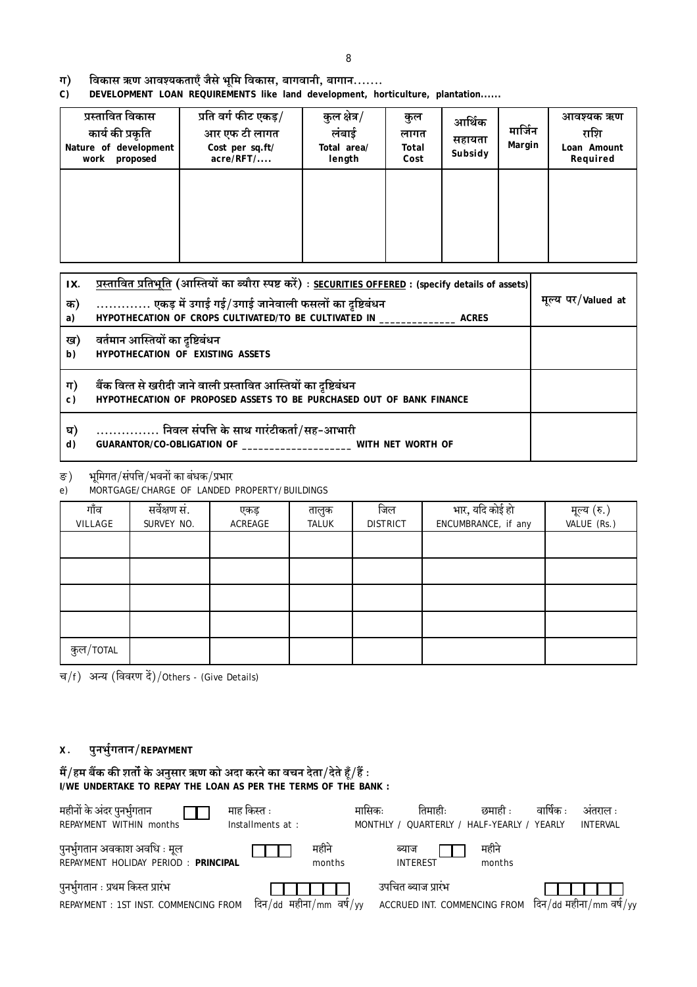#### 8

#### विकास ऋण आवश्यकताएँ जैसे भूमि विकास, बागवानी, बागान……. ग)

DEVELOPMENT LOAN REQUIREMENTS like land development, horticulture, plantation......  $\overline{c}$ )

| प्रस्तावित विकास<br>कार्य की प्रकृति<br>Nature of development<br>work<br>proposed | प्रति वर्ग फीट एकड़/<br>आर एफ टी लागत<br>Cost per sq.ft/<br>acre/RFT/ | कुल क्षेत्र/<br>लंबाई<br>Total area/<br>length | कुल<br>लागत<br>Total<br>Cost | आर्थिक<br>सहायता<br>Subsidy | मार्जिन<br>Margin | आवश्यक ऋण<br>राशि<br>Loan Amount<br>Required |
|-----------------------------------------------------------------------------------|-----------------------------------------------------------------------|------------------------------------------------|------------------------------|-----------------------------|-------------------|----------------------------------------------|
|                                                                                   |                                                                       |                                                |                              |                             |                   |                                              |

| IX.      | प्रस्तावित प्रतिभूति (आस्तियों का ब्यौरा स्पष्ट करें) : SECURITIES OFFERED : (specify details of assets)                                |                    |
|----------|-----------------------------------------------------------------------------------------------------------------------------------------|--------------------|
| क)<br>a) | …………. एकड़ में उगाई गई/उगाई जानेवाली फसलों का दृष्टिबंधन<br>HYPOTHECATION OF CROPS CULTIVATED/TO BE CULTIVATED IN THE MORES             | मूल्य पर/Valued at |
| ख)<br>b) | वर्तमान आस्तियों का दृष्टिबंधन<br>HYPOTHECATION OF EXISTING ASSETS                                                                      |                    |
| ग)<br>C) | बैंक वित्त से खरीदी जाने वाली प्रस्तावित आस्तियों का दृष्टिबंधन<br>HYPOTHECATION OF PROPOSED ASSETS TO BE PURCHASED OUT OF BANK FINANCE |                    |
| घ)<br>d) | …………… निवल संपत्ति के साथ गारंटीकर्ता/सह-आभारी<br>GUARANTOR/CO-OBLIGATION OF WITH NET WORTH OF                                          |                    |

#### भूमिगत/संपत्ति/भवनों का बंधक/प्रभार ङ)

MORTGAGE/CHARGE OF LANDED PROPERTY/BUILDINGS  $e)$ 

| गाँव      | सर्वेक्षण सं. | एकड़    | तालुक        | जिल             | भार, यदि कोई हो     | मूल्य (रु.) |
|-----------|---------------|---------|--------------|-----------------|---------------------|-------------|
| VILLAGE   | SURVEY NO.    | ACREAGE | <b>TALUK</b> | <b>DISTRICT</b> | ENCUMBRANCE, if any | VALUE (Rs.) |
|           |               |         |              |                 |                     |             |
|           |               |         |              |                 |                     |             |
|           |               |         |              |                 |                     |             |
|           |               |         |              |                 |                     |             |
| कुल/TOTAL |               |         |              |                 |                     |             |

च/f) अन्य (विवरण दें)/Others - (Give Details)

#### पुनर्भुगतान/REPAYMENT Χ.

## मैं/हम बैंक की शर्तो के अनुसार ऋण को अदा करने का वचन देता/देते हूँ/हैं :<br>I/WE UNDERTAKE TO REPAY THE LOAN AS PER THE TERMS OF THE BANK :

| महीनों के अंदर पुनर्भुगतान<br>REPAYMENT WITHIN months                      | माह किस्त :<br>Installments at: | तिमाहीः<br>मासिकः<br>MONTHLY / QUARTERLY / HALF-YEARLY / YEARLY             | छमाही :         | वार्षिक : | अंतराल :<br><b>INTERVAL</b> |
|----------------------------------------------------------------------------|---------------------------------|-----------------------------------------------------------------------------|-----------------|-----------|-----------------------------|
| पुनर्भुगतान अवकाश अवधि : मूल<br>REPAYMENT HOLIDAY PERIOD : PRINCIPAL       | महीने<br>months                 | ब्याज<br><b>INTEREST</b>                                                    | महीने<br>months |           |                             |
| पुनर्भुगतान : प्रथम किस्त प्रारंभ<br>REPAYMENT : 1ST INST. COMMENCING FROM | दिन/dd महीना/mm वर्ष/yy         | उपचित ब्याज प्रारंभ<br>ACCRUED INT. COMMENCING FROM दिन/dd महीना/mm वर्ष/yy |                 |           |                             |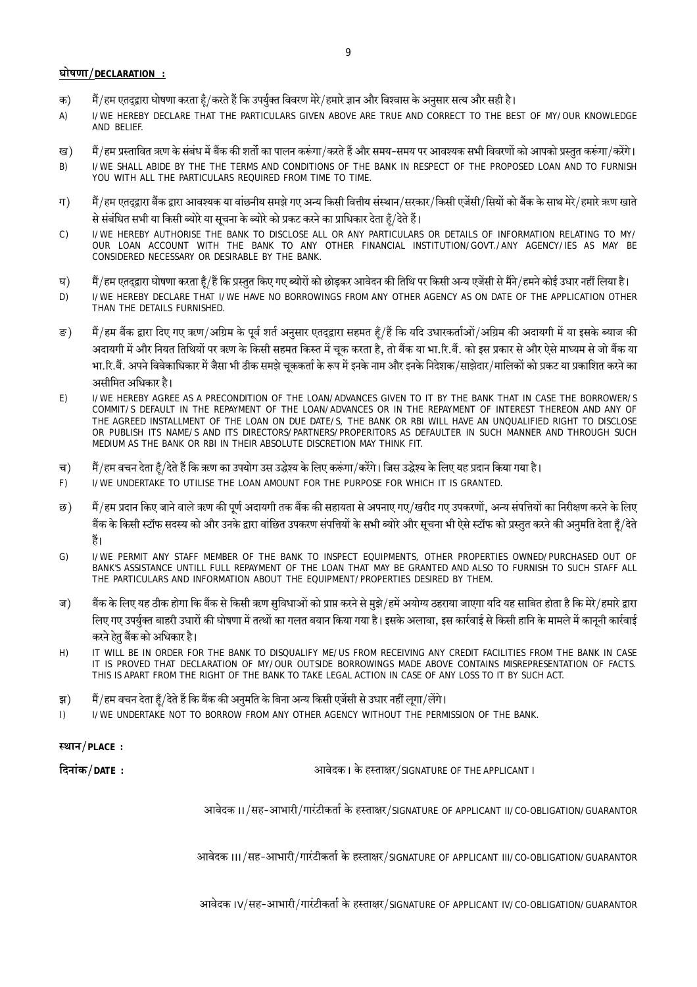घोषणा/DECLARATION:

- मैं/हम एतदृद्वारा घोषणा करता हँ/करते हैं कि उपर्युक्त विवरण मेरे/हमारे ज्ञान और विश्वास के अनुसार सत्य और सही है। क)
- I/WE HEREBY DECLARE THAT THE PARTICULARS GIVEN ABOVE ARE TRUE AND CORRECT TO THE BEST OF MY/OUR KNOWLEDGE A) AND RELIFE
- मैं/हम प्रस्तावित ऋण के संबंध में बैंक की शर्तो का पालन करूंगा/करते हैं और समय-समय पर आवश्यक सभी विवरणों को आपको प्रस्तत करूंगा/करेंगे। ख)
- I/WE SHALL ABIDE BY THE THE TERMS AND CONDITIONS OF THE BANK IN RESPECT OF THE PROPOSED LOAN AND TO FURNISH B) YOU WITH ALL THE PARTICULARS REQUIRED FROM TIME TO TIME.
- $\Pi$ ) मैं/हम एतदद्वारा बैंक द्वारा आवश्यक या वांछनीय समझे गए अन्य किसी वित्तीय संस्थान/सरकार/किसी एजेंसी/सियों को बैंक के साथ मेरे/हमारे ऋण खाते से संबंधित सभी या किसी ब्योरे या सूचना के ब्योरे को प्रकट करने का प्राधिकार देता हँ/देते हैं।
- I/WE HEREBY AUTHORISE THE BANK TO DISCLOSE ALL OR ANY PARTICULARS OR DETAILS OF INFORMATION RELATING TO MY/  $C)$ OUR LOAN ACCOUNT WITH THE BANK TO ANY OTHER FINANCIAL INSTITUTION/GOVT./ANY AGENCY/IES AS MAY BE<br>CONSIDERED NECESSARY OR DESIRABLE BY THE BANK.
- घ) मैं/हम एतदद्वारा घोषणा करता हँ/हैं कि प्रस्तुत किए गए ब्योरों को छोडकर आवेदन की तिथि पर किसी अन्य एजेंसी से मैंने/हमने कोई उधार नहीं लिया है।
- I/WE HEREBY DECLARE THAT I/WE HAVE NO BORROWINGS FROM ANY OTHER AGENCY AS ON DATE OF THE APPLICATION OTHER  $D)$ THAN THE DETAILS FURNISHED.
- मैं/हम बैंक द्वारा दिए गए ऋण/अग्रिम के पूर्व शर्त अनुसार एतदृद्वारा सहमत हँ/हैं कि यदि उधारकर्ताओं/अग्रिम की अदायगी में या इसके ब्याज की ङ) अदायगी में और नियत तिथियों पर ऋण के किसी सहमत किस्त में चक करता है. तो बैंक या भा.रि.बैं. को इस प्रकार से और ऐसे माध्यम से जो बैंक या भा.रि.बैं. अपने विवेकाधिकार में जैसा भी ठीक समझे चककर्ता के रूप में इनके नाम और इनके निदेशक/साझेदार/मालिकों को प्रकट या प्रकाशित करने का असीमित अधिकार है।
- I/WE HEREBY AGREE AS A PRECONDITION OF THE LOAN/ADVANCES GIVEN TO IT BY THE BANK THAT IN CASE THE BORROWER/S  $F)$ COMMIT/S DEFAULT IN THE REPAYMENT OF THE LOAN/ADVANCES OR IN THE REPAYMENT OF INTEREST THEREON AND ANY OF THE AGREED INSTALLMENT OF THE LOAN ON DUE DATE/S, THE BANK OR RBI WILL HAVE AN UNQUALIFIED RIGHT TO DISCLOSE OR PUBLISH ITS NAME/S AND ITS DIRECTORS/PARTNERS/PROPERITORS AS DEFAULTER IN SUCH MANNER AND THROUGH SUCH MEDIUM AS THE BANK OR RBI IN THEIR ABSOLUTE DISCRETION MAY THINK FIT.
- मैं/हम वचन देता हँ/देते हैं कि ऋण का उपयोग उस उद्धेश्य के लिए करूंगा/करेंगे। जिस उद्धेश्य के लिए यह प्रदान किया गया है। च)
- I/WE UNDERTAKE TO UTILISE THE LOAN AMOUNT FOR THE PURPOSE FOR WHICH IT IS GRANTED.  $F$ )
- मैं/हम प्रदान किए जाने वाले ऋण की पूर्ण अदायगी तक बैंक की सहायता से अपनाए गए/खरीद गए उपकरणों, अन्य संपत्तियों का निरीक्षण करने के लिए छ ) बैंक के किसी स्टॉफ सदस्य को और उनके द्वारा वांछित उपकरण संपत्तियों के सभी ब्योरे और सूचना भी ऐसे स्टॉफ को प्रस्तुत करने की अनुमति देता हूँ/देते हैं।
- $G)$ I/WE PERMIT ANY STAFF MEMBER OF THE BANK TO INSPECT EQUIPMENTS. OTHER PROPERTIES OWNED/PURCHASED OUT OF BANK'S ASSISTANCE UNTILL FULL REPAYMENT OF THE LOAN THAT MAY BE GRANTED AND ALSO TO FURNISH TO SUCH STAFF ALL THE PARTICULARS AND INFORMATION ABOUT THE EQUIPMENT/PROPERTIES DESIRED BY THEM.
- बैंक के लिए यह ठीक होगा कि बैंक से किसी ऋण सुविधाओं को प्राप्त करने से मुझे/हमें अयोग्य ठहराया जाएगा यदि यह साबित होता है कि मेरे/हमारे द्वारा  $\overline{3}$ ) लिए गए उपर्युक्त बाहरी उधारों की घोषणा में तत्थों का गलत बयान किया गया है। इसके अलावा, इस कार्रवाई से किसी हानि के मामले में कानूनी कार्रवाई करने हेतु बैंक को अधिकार है।
- IT WILL BE IN ORDER FOR THE BANK TO DISQUALIFY ME/US FROM RECEIVING ANY CREDIT FACILITIES FROM THE BANK IN CASE  $H)$ IT IS PROVED THAT DECLARATION OF MY/OUR OUTSIDE BORROWINGS MADE ABOVE CONTAINS MISREPRESENTATION OF FACTS. THIS IS APART FROM THE RIGHT OF THE BANK TO TAKE LEGAL ACTION IN CASE OF ANY LOSS TO IT BY SUCH ACT.
- मैं/हम वचन देता हँ/देते हैं कि बैंक की अनुमति के बिना अन्य किसी एजेंसी से उधार नहीं लूगा/लेंगे। झ)
- L/WE UNDERTAKE NOT TO BORROW FROM ANY OTHER AGENCY WITHOUT THE PERMISSION OF THE BANK  $\overline{1}$

स्थान/PLACE:

दिनांक/DATE:

आवेदक। के हस्ताक्षर/SIGNATURE OF THE APPLICANT I

आवेदक ।।/सह-आभारी/गारंटीकर्ता के हस्ताक्षर/SIGNATURE OF APPLICANT II/CO-OBLIGATION/GUARANTOR

आवेदक III/सह-आभारी/गारंटीकर्ता के हस्ताक्षर/SIGNATURE OF APPLICANT III/CO-OBLIGATION/GUARANTOR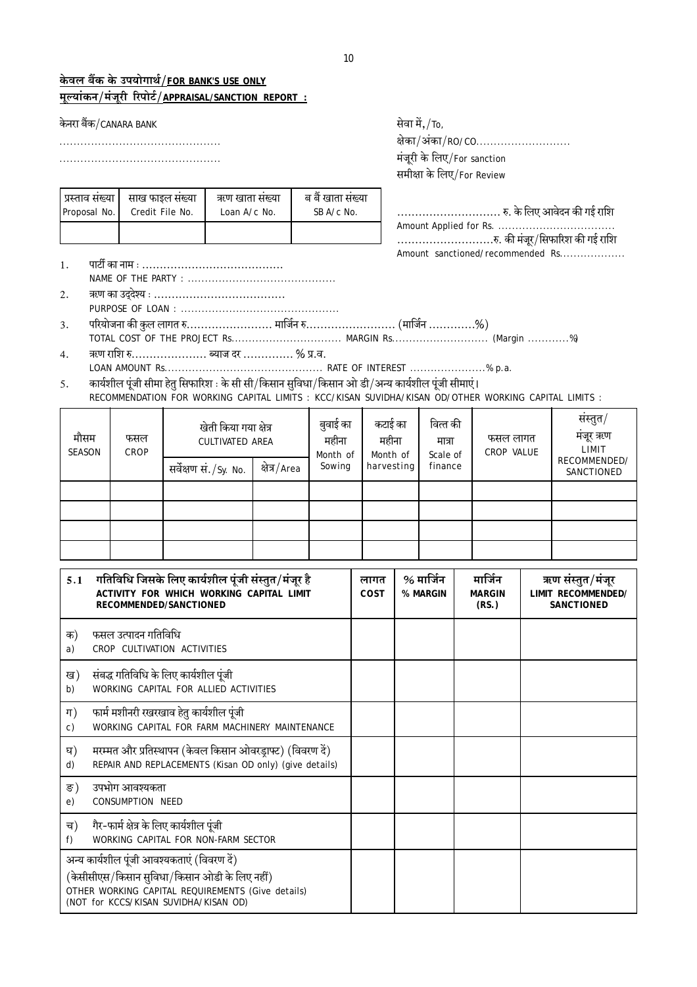## केवल बैंक के उपयोगार्थ/FOR BANK'S USE ONLY मुल्यांकन/मंजूरी रिपोर्ट/APPRAISAL/SANCTION REPORT:

केनरा बैंक/CANARA BANK

| । प्रस्ताव संख्या ।     | साख फाइल संख्या | ऋण खाता संख्या | ब बैं खाता सख्या |
|-------------------------|-----------------|----------------|------------------|
| <b>I</b> Proposal No. I | Credit File No. | Loan A/c No.   | SB A/c No.       |
|                         |                 |                |                  |

- $1.$
- $2.$
- परियोजना की कुल लागत रु......................... मार्जिन रु...............................(मार्जिन .............%)  $3.$
- ऋण राशि रु..................... ब्याज दर ............... % प्र.व.  $4.$ कार्यशील पूंजी सीमा हेतु सिफारिश : के सी सी/किसान सुविधा/किसान ओ डी/अन्य कार्यशील पूंजी सीमाएं।
- 5. RECOMMENDATION FOR WORKING CAPITAL LIMITS : KCC/KISAN SUVIDHA/KISAN OD/OTHER WORKING CAPITAL LIMITS :

| मौसम<br>SEASON | फसल<br>CROP | खेती किया गया क्षेत्र<br>CULTIVATED AREA |              | बुवाई का<br>महीना<br>Month of | कटाई का<br>महीना<br>Month of | वित्त की<br>मात्रा<br>Scale of | फसल लागत<br>CROP VALUE | सस्तुत/<br>मंजूर ऋण<br>LIMIT<br>RECOMMENDED/ |
|----------------|-------------|------------------------------------------|--------------|-------------------------------|------------------------------|--------------------------------|------------------------|----------------------------------------------|
|                |             | सर्वेक्षण सं./Sy. No.                    | क्षेत्र/Area | Sowing                        | harvesting                   | finance                        |                        | SANCTIONED                                   |
|                |             |                                          |              |                               |                              |                                |                        |                                              |
|                |             |                                          |              |                               |                              |                                |                        |                                              |
|                |             |                                          |              |                               |                              |                                |                        |                                              |
|                |             |                                          |              |                               |                              |                                |                        |                                              |

| 5.1      | गतिविधि जिसके लिए कार्यशील पूंजी संस्तुत/मंजूर है<br>ACTIVITY FOR WHICH WORKING CAPITAL LIMIT<br>RECOMMENDED/SANCTIONED                                                                   | लागत<br>COST | $%$ मार्जिन<br>% MARGIN | मार्जिन<br><b>MARGIN</b><br>(RS.) | ऋण संस्तुत/मंजूर<br>LIMIT RECOMMENDED/<br><b>SANCTIONED</b> |
|----------|-------------------------------------------------------------------------------------------------------------------------------------------------------------------------------------------|--------------|-------------------------|-----------------------------------|-------------------------------------------------------------|
| क)<br>a) | फसल उत्पादन गतिविधि<br>CROP CULTIVATION ACTIVITIES                                                                                                                                        |              |                         |                                   |                                                             |
| ख)<br>b) | संबद्ध गतिविधि के लिए कार्यशील पूंजी<br>WORKING CAPITAL FOR ALLIED ACTIVITIES                                                                                                             |              |                         |                                   |                                                             |
| ग)<br>C) | फार्म मशीनरी रखरखाव हेतु कार्यशील पूंजी<br>WORKING CAPITAL FOR FARM MACHINERY MAINTENANCE                                                                                                 |              |                         |                                   |                                                             |
| घ)<br>d) | मरम्मत और प्रतिस्थापन (केवल किसान ओवरड़ाफ्ट) (विवरण दें)<br>REPAIR AND REPLACEMENTS (Kisan OD only) (give details)                                                                        |              |                         |                                   |                                                             |
| ङ)<br>e) | उपभोग आवश्यकता<br>CONSUMPTION NEED                                                                                                                                                        |              |                         |                                   |                                                             |
| च)<br>f) | गैर-फार्म क्षेत्र के लिए कार्यशील पूंजी<br>WORKING CAPITAL FOR NON-FARM SECTOR                                                                                                            |              |                         |                                   |                                                             |
|          | अन्य कार्यशील पूंजी आवश्यकताएं (विवरण दें)<br>(केसीसीएस/किसान सुविधा/किसान ओडी के लिए नहीं)<br>OTHER WORKING CAPITAL REQUIREMENTS (Give details)<br>(NOT for KCCS/KISAN SUVIDHA/KISAN OD) |              |                         |                                   |                                                             |

सेवा में,/To, क्षेका/अंका/RO/CO ........................... मंजूरी के लिए/For sanction समीक्षा के लिए/For Review

Amount sanctioned/recommended Rs..................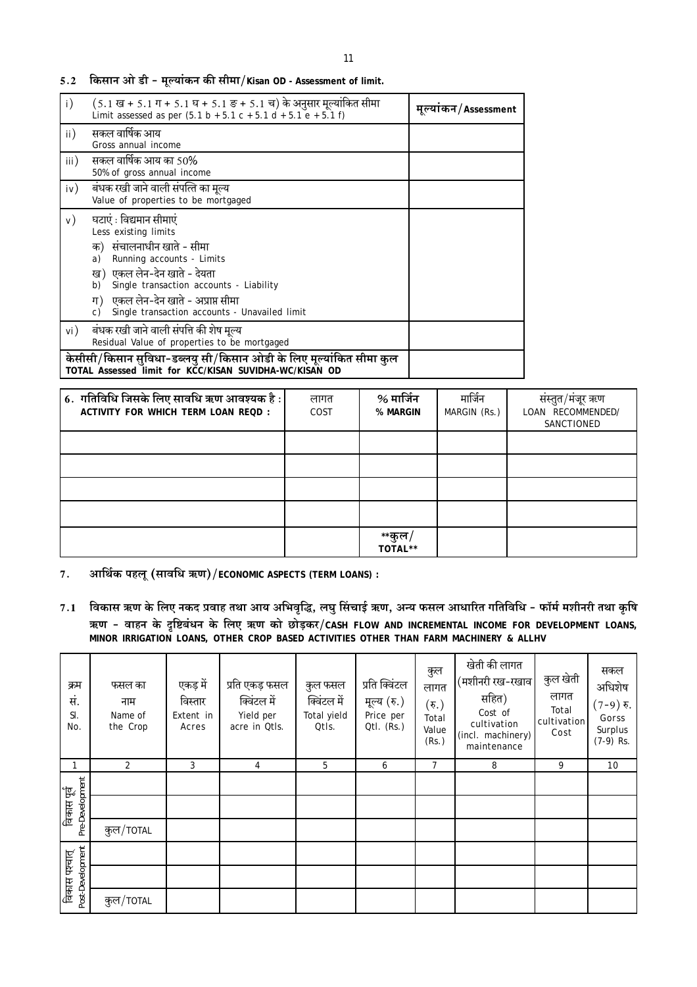|  |  |  |  |  |  | 5.2 किसान ओ डी - मूल्यांकन की सीमा/Kisan OD - Assessment of limit. |
|--|--|--|--|--|--|--------------------------------------------------------------------|
|--|--|--|--|--|--|--------------------------------------------------------------------|

| i)     | $(5.1 \text{ G} + 5.1 \text{ T} + 5.1 \text{ G} + 5.1 \text{ G} + 5.1 \text{ T})$ के अनुसार मूल्यांकित सीमा<br>Limit assessed as per $(5.1 b + 5.1 c + 5.1 d + 5.1 e + 5.1 f)$                                                                                                                   | मूल्यांकन/Assessment |
|--------|--------------------------------------------------------------------------------------------------------------------------------------------------------------------------------------------------------------------------------------------------------------------------------------------------|----------------------|
| ii)    | सकल वार्षिक आय<br>Gross annual income                                                                                                                                                                                                                                                            |                      |
| iii)   | सकल वार्षिक आय का 50%<br>50% of gross annual income                                                                                                                                                                                                                                              |                      |
| iv)    | बंधक रखी जाने वाली संपत्ति का मूल्य<br>Value of properties to be mortgaged                                                                                                                                                                                                                       |                      |
| $\vee$ | घटाएं : विद्यमान सीमाएं<br>Less existing limits<br>क) संचालनाधीन खाते - सीमा<br>Running accounts - Limits<br>a)<br>ख) एकल लेन-देन खाते - देयता<br>Single transaction accounts - Liability<br>b)<br>एकल लेन-देन खाते - अप्राप्त सीमा<br>ग)<br>Single transaction accounts - Unavailed limit<br>c) |                      |
| vi)    | बंधक रखी जाने वाली संपत्ति की शेष मूल्य<br>Residual Value of properties to be mortgaged                                                                                                                                                                                                          |                      |
|        | केसीसी/किसान सुविधा-डब्लयु सी/किसान ओडी के लिए मूल्यांकित सीमा कुल<br>TOTAL Assessed limit for KCC/KISAN SUVIDHA-WC/KISAN OD                                                                                                                                                                     |                      |

| 6. गतिविधि जिसके लिए सावधि ऋण आवश्यक है:  <br>ACTIVITY FOR WHICH TERM LOAN REQD : | लागत<br>COST | % मार्जिन<br>% MARGIN | मार्जिन<br>MARGIN (Rs.) | संस्तुत/मंजूर ऋण<br>LOAN RECOMMENDED/<br>SANCTIONED |
|-----------------------------------------------------------------------------------|--------------|-----------------------|-------------------------|-----------------------------------------------------|
|                                                                                   |              |                       |                         |                                                     |
|                                                                                   |              |                       |                         |                                                     |
|                                                                                   |              |                       |                         |                                                     |
|                                                                                   |              |                       |                         |                                                     |
|                                                                                   |              | **कुल<br>TOTAL**      |                         |                                                     |

- आर्थिक पहलू (सावधि ऋण)/ECONOMIC ASPECTS (TERM LOANS) :  $7.$
- 7.1 विकास ऋण के लिए नकद प्रवाह तथा आय अभिवृद्धि, लघु सिंचाई ऋण, अन्य फसल आधारित गतिविधि फॉर्म मशीनरी तथा कृषि ऋण - वाहन के दृष्टिबंधन के लिए ऋण को छोड़कर/CASH FLOW AND INCREMENTAL INCOME FOR DEVELOPMENT LOANS,<br>MINOR IRRIGATION LOANS, OTHER CROP BASED ACTIVITIES OTHER THAN FARM MACHINERY & ALLHV

| क्रम<br>सं.<br>SI.<br>No.         | फसल का<br>नाम<br>Name of<br>the Crop | एकड़ में<br>विस्तार<br>Extent in<br>Acres | प्रति एकड़ फसल<br>क्विंटल में<br>Yield per<br>acre in Otls. | कुल फसल<br>क्विंटल में<br>Total yield<br>Qtls. | प्रति क्विंटल<br>मूल्य (रु.)<br>Price per<br>Qtl. (Rs.) | कुल<br>लागत<br>$(\bar{\mathfrak{r}}_\cdot)$<br>Total<br>Value<br>(Rs.) | खेती की लागत<br>(मशीनरी रख-रखाव<br>सहित)<br>Cost of<br>cultivation<br>(incl. machinery)<br>maintenance | कुल खेती<br>लागत<br>Total<br>cultivation<br>Cost | सकल<br>अधिशेष<br>$(7-9)$ ह.<br>Gorss<br>Surplus<br>$(7-9)$ Rs. |
|-----------------------------------|--------------------------------------|-------------------------------------------|-------------------------------------------------------------|------------------------------------------------|---------------------------------------------------------|------------------------------------------------------------------------|--------------------------------------------------------------------------------------------------------|--------------------------------------------------|----------------------------------------------------------------|
|                                   | $\overline{2}$                       | 3                                         | 4                                                           | 5                                              | 6                                                       | $\overline{7}$                                                         | 8                                                                                                      | 9                                                | 10                                                             |
| Pre-Development<br>विकास पूर्व    |                                      |                                           |                                                             |                                                |                                                         |                                                                        |                                                                                                        |                                                  |                                                                |
|                                   | कुल/TOTAL                            |                                           |                                                             |                                                |                                                         |                                                                        |                                                                                                        |                                                  |                                                                |
|                                   |                                      |                                           |                                                             |                                                |                                                         |                                                                        |                                                                                                        |                                                  |                                                                |
| Post-Development<br>विकास पश्चात् |                                      |                                           |                                                             |                                                |                                                         |                                                                        |                                                                                                        |                                                  |                                                                |
|                                   | कुल/TOTAL                            |                                           |                                                             |                                                |                                                         |                                                                        |                                                                                                        |                                                  |                                                                |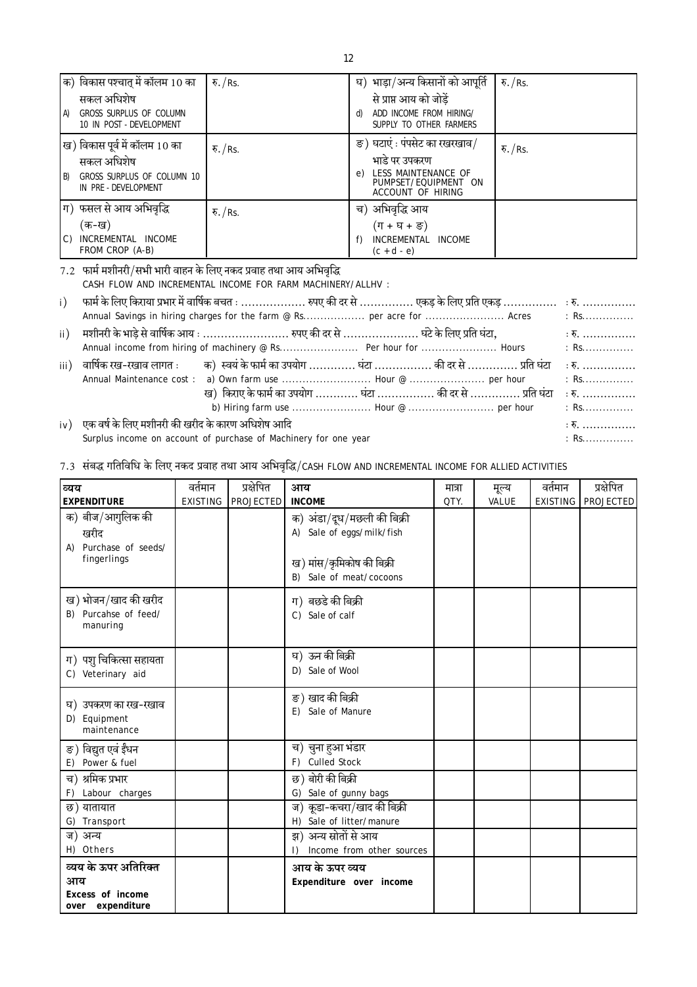| क) विकास पश्चात् में कॉलम 10 का<br>सकल अधिशेष<br><b>GROSS SURPLUS OF COLUMN</b><br>IA)<br>10 IN POST - DEVELOPMENT | रु./ $Rs.$ | घ) भाड़ा/अन्य किसानों को आपूर्ति<br>से प्राप्त आय को जोड़ें<br>ADD INCOME FROM HIRING/<br>SUPPLY TO OTHER FARMERS | रु./ $Rs.$ |
|--------------------------------------------------------------------------------------------------------------------|------------|-------------------------------------------------------------------------------------------------------------------|------------|
| ख) विकास पूर्व में कॉलम 10 का<br>सकल अधिशेष<br>GROSS SURPLUS OF COLUMN 10<br>B)<br>IN PRE - DEVELOPMENT            | रु./ $Rs.$ | ङ) घटाएं : पंपसेट का रखरखाव/<br>भाडे पर उपकरण<br>LESS MAINTENANCE OF<br>PUMPSET/EQUIPMENT ON<br>ACCOUNT OF HIRING | रु./ $Rs.$ |
| ग)  फसल से आय अभिवृद्धि<br>(क-ख)<br>IC)<br>INCREMENTAL INCOME<br>FROM CROP (A-B)                                   | रु./ $Rs.$ | च) अभिवृद्धि आय<br>$(\Pi + \nabla + \nabla)$<br>INCREMENTAL INCOME<br>$(c + d - e)$                               |            |

| 7.2 फार्म मशीनरी/सभी भारी वाहन के लिए नकद प्रवाह तथा आय अभिवृद्धि                                                                                                                              |                             |
|------------------------------------------------------------------------------------------------------------------------------------------------------------------------------------------------|-----------------------------|
| CASH FLOW AND INCREMENTAL INCOME FOR FARM MACHINERY/ALLHV :                                                                                                                                    |                             |
|                                                                                                                                                                                                |                             |
| Annual Savings in hiring charges for the farm @ Rs per acre for  Acres : Rs                                                                                                                    |                             |
| Annual income from hiring of machinery @ Rs Per hour for  Hours : Rs                                                                                                                           |                             |
| ।।।)    वार्षिक रख-रखाव लागत :         क)   स्वयं के फार्म का उपयोग …………. घंटा …………… की दर से …………… प्रति घंटा     : रु. ……………<br>ख) किराए के फार्म का उपयोग  घंटा  की दर से  प्रति घंटा ः रु. | $: Rs.$                     |
| iv) एक वर्ष के लिए मशीनरी की खरीद के कारण अधिशेष आदि<br>Surplus income on account of purchase of Machinery for one year                                                                        | $\overline{z}$ ,<br>$: Rs.$ |

7.3 संबद्ध गतिविधि के लिए नकद प्रवाह तथा आय अभिवृद्धि/CASH FLOW AND INCREMENTAL INCOME FOR ALLIED ACTIVITIES

| व्यय                                | वर्तमान         | प्रक्षेपित | आय                         | मात्रा | मूल्य | वर्तमान | प्रक्षेपित           |
|-------------------------------------|-----------------|------------|----------------------------|--------|-------|---------|----------------------|
| <b>EXPENDITURE</b>                  | <b>EXISTING</b> | PROJECTED  | <b>INCOME</b>              | QTY.   | VALUE |         | EXISTING   PROJECTED |
| क) बीज/आगुलिक की                    |                 |            | क) अंडा/दूध/मछली की बिक्री |        |       |         |                      |
| खरीद                                |                 |            | A) Sale of eggs/milk/fish  |        |       |         |                      |
| Purchase of seeds/<br>A)            |                 |            |                            |        |       |         |                      |
| fingerlings                         |                 |            | ख) मांस/कृमिकोष की बिक्री  |        |       |         |                      |
|                                     |                 |            | B) Sale of meat/cocoons    |        |       |         |                      |
|                                     |                 |            |                            |        |       |         |                      |
| ख) भोजन/खाद की खरीद                 |                 |            | ग) बछडे की बिक्री          |        |       |         |                      |
| B) Purcahse of feed/<br>manuring    |                 |            | C) Sale of calf            |        |       |         |                      |
|                                     |                 |            |                            |        |       |         |                      |
| ग) पशु चिकित्सा सहायता              |                 |            | घ) ऊन की बिक्री            |        |       |         |                      |
| C) Veterinary aid                   |                 |            | D) Sale of Wool            |        |       |         |                      |
|                                     |                 |            |                            |        |       |         |                      |
|                                     |                 |            | ङ) खाद की बिक्री           |        |       |         |                      |
| घ) उपकरण का रख-रखाव<br>D) Equipment |                 |            | E) Sale of Manure          |        |       |         |                      |
| maintenance                         |                 |            |                            |        |       |         |                      |
| ङ) विद्युत एवं ईंधन                 |                 |            | च) चुना हुआ भंडार          |        |       |         |                      |
| Power & fuel<br>E)                  |                 |            | F) Culled Stock            |        |       |         |                      |
| च) श्रमिक प्रभार                    |                 |            | छ) बोरी की बिक्री          |        |       |         |                      |
| Labour charges<br>F)                |                 |            | G) Sale of gunny bags      |        |       |         |                      |
| छ) यातायात                          |                 |            | ज) कूडा-कचरा/खाद की बिक्री |        |       |         |                      |
| G) Transport                        |                 |            | H) Sale of litter/manure   |        |       |         |                      |
| ज) अन्य                             |                 |            | झ) अन्य स्रोतों से आय      |        |       |         |                      |
| H) Others                           |                 |            | Income from other sources  |        |       |         |                      |
| व्यय के ऊपर अतिरिक्त                |                 |            | आय के ऊपर व्यय             |        |       |         |                      |
| आय                                  |                 |            | Expenditure over income    |        |       |         |                      |
| Excess of income                    |                 |            |                            |        |       |         |                      |
| over expenditure                    |                 |            |                            |        |       |         |                      |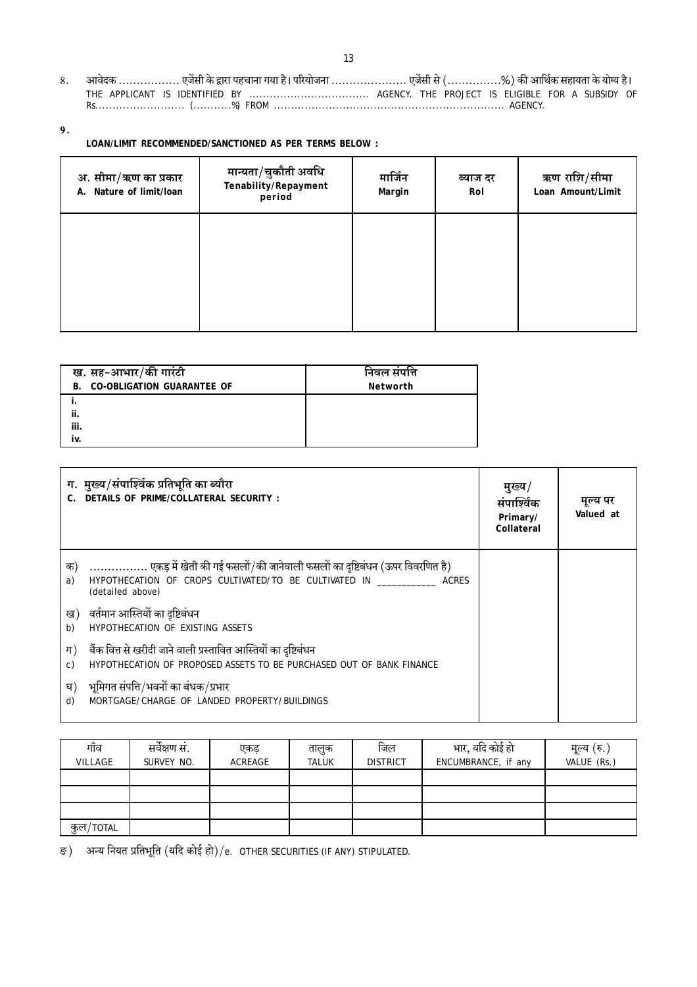- आवेदक ……………… एजेंसी के द्वारा पहचाना गया है। परियोजना ………………… एजेंसी से (……………%) की आर्थिक सहायता के योग्य है। 8.
- $9.$

LOAN/LIMIT RECOMMENDED/SANCTIONED AS PER TERMS BELOW :

| अ. सीमा/ऋण का प्रकार<br>A. Nature of limit/loan | मान्यता/चुकौती अवधि<br>Tenability/Repayment<br>period | मार्जिन<br>Margin | ब्याज दर<br>Rol | ऋण राशि/सीमा<br>Loan Amount/Limit |
|-------------------------------------------------|-------------------------------------------------------|-------------------|-----------------|-----------------------------------|
|                                                 |                                                       |                   |                 |                                   |
|                                                 |                                                       |                   |                 |                                   |

| ख. सह-आभार/की गारंटी                 | निवल संपत्ति |
|--------------------------------------|--------------|
| <b>B. CO-OBLIGATION GUARANTEE OF</b> | Networth     |
|                                      |              |
| ji.                                  |              |
| iii.                                 |              |
| iv.                                  |              |

|          | ग. मुख्य/संपार्श्विक प्रतिभूति का ब्यौरा<br>DETAILS OF PRIME/COLLATERAL SECURITY:                                                                                 | मुख्य/<br>संपार्श्विक<br>Primary/<br>Collateral | मूल्य पर<br>Valued at |
|----------|-------------------------------------------------------------------------------------------------------------------------------------------------------------------|-------------------------------------------------|-----------------------|
| क)<br>a) | एकड़ में खेती की गई फसलों/की जानेवाली फसलों का दृष्टिबंधन (ऊपर विवरणित है)<br>HYPOTHECATION OF CROPS CULTIVATED/TO BE CULTIVATED IN THE ACRES<br>(detailed above) |                                                 |                       |
| ख)<br>b) | वर्तमान आस्तियों का दृष्टिबंधन<br>HYPOTHECATION OF EXISTING ASSETS                                                                                                |                                                 |                       |
| ग)<br>C) | बैंक वित्त से खरीदी जाने वाली प्रस्तावित आस्तियों का दृष्टिबंधन<br>HYPOTHECATION OF PROPOSED ASSETS TO BE PURCHASED OUT OF BANK FINANCE                           |                                                 |                       |
| घ)<br>d) | भूमिगत संपत्ति/भवनों का बंधक/प्रभार<br>MORTGAGE/CHARGE OF LANDED PROPERTY/BUILDINGS                                                                               |                                                 |                       |

| गाँव      | सर्वेक्षण स. | एकड     | तालुक        | जिल             | भार, यदि कोई हो     | मूल्य (रु.) |
|-----------|--------------|---------|--------------|-----------------|---------------------|-------------|
| VILLAGE   | SURVEY NO.   | ACREAGE | <b>TALUK</b> | <b>DISTRICT</b> | ENCUMBRANCE, if any | VALUE (Rs.) |
|           |              |         |              |                 |                     |             |
|           |              |         |              |                 |                     |             |
|           |              |         |              |                 |                     |             |
| कुल/TOTAL |              |         |              |                 |                     |             |

ङ) अन्य नियत प्रतिभूति (यदि कोई हो)/e. OTHER SECURITIES (IF ANY) STIPULATED.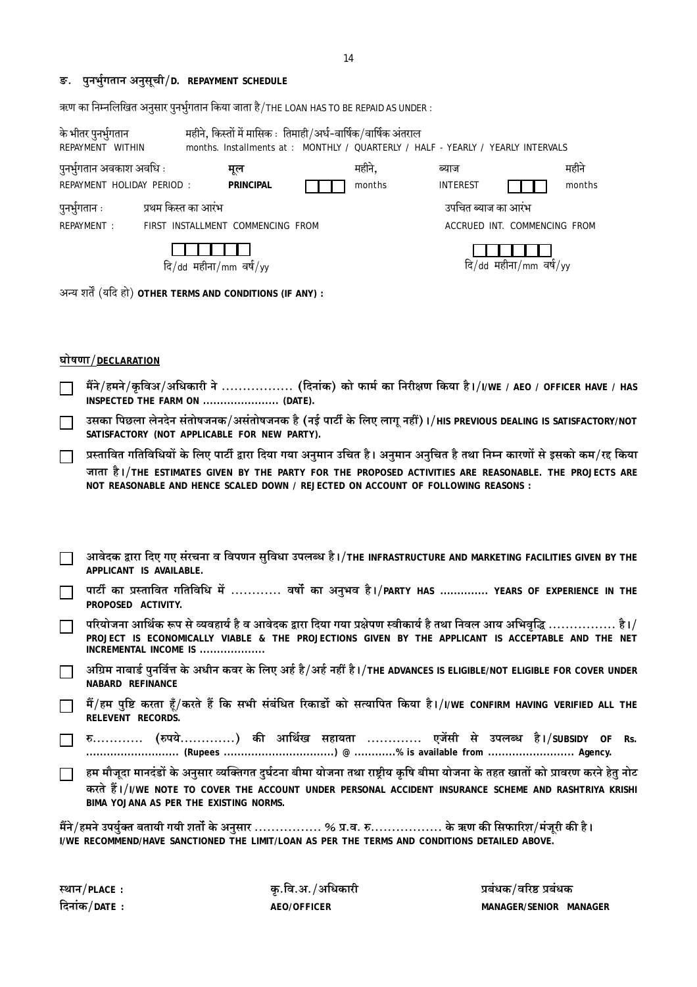### ङ. पुनर्भुगतान अनुसूची/D. REPAYMENT SCHEDULE

ऋण का निम्नलिखित अनुसार पुनर्भुगतान किया जाता है/THE LOAN HAS TO BE REPAID AS UNDER :

|        | के भीतर पुनर्भुगतान<br>REPAYMENT WITHIN                                                                                                                        | महीने, किस्तों में मासिक :  तिमाही/अर्ध-वार्षिक/वार्षिक अंतराल |        | months. Installments at: MONTHLY / QUARTERLY / HALF - YEARLY / YEARLY INTERVALS |                        |        |  |
|--------|----------------------------------------------------------------------------------------------------------------------------------------------------------------|----------------------------------------------------------------|--------|---------------------------------------------------------------------------------|------------------------|--------|--|
|        | पुनर्भुगतान अवकाश अवधि :                                                                                                                                       | मूल                                                            | महीने, | ब्याज                                                                           |                        | महीने  |  |
|        | REPAYMENT HOLIDAY PERIOD:                                                                                                                                      | <b>PRINCIPAL</b>                                               | months | <b>INTEREST</b>                                                                 |                        | months |  |
|        | पुनर्भुगतान :                प्रथम किस्त का आरंभ                                                                                                               |                                                                |        | उपचित ब्याज का आरंभ                                                             |                        |        |  |
|        | REPAYMENT:<br>FIRST INSTALLMENT COMMENCING FROM                                                                                                                |                                                                |        | ACCRUED INT. COMMENCING FROM                                                    |                        |        |  |
|        |                                                                                                                                                                | दि/dd महीना/mm वर्ष/yy                                         |        |                                                                                 | दि/dd महीना/mm वर्ष/yy |        |  |
|        | अन्य शर्तें (यदि हो) OTHER TERMS AND CONDITIONS (IF ANY) :                                                                                                     |                                                                |        |                                                                                 |                        |        |  |
|        |                                                                                                                                                                |                                                                |        |                                                                                 |                        |        |  |
|        | घोषणा/DECLARATION                                                                                                                                              |                                                                |        |                                                                                 |                        |        |  |
| $\Box$ | मैंने/हमने/कृविअ/अधिकारी ने  (दिनांक) को फार्म का निरीक्षण किया है।/I/WE / AEO / OFFICER HAVE / HAS<br>INSPECTED THE FARM ON  (DATE).                          |                                                                |        |                                                                                 |                        |        |  |
| $\Box$ | उसका पिछला लेनदेन संतोषजनक/असंतोषजनक है (नई पार्टी के लिए लागू नहीं)।/HIS PREVIOUS DEALING IS SATISFACTORY/NOT<br>SATISFACTORY (NOT APPLICABLE FOR NEW PARTY). |                                                                |        |                                                                                 |                        |        |  |

प्रस्तावित गतिविधियों के लिए पार्टी द्वारा दिया गया अनुमान उचित है। अनुमान अनुचित है तथा निम्न कारणों से इसको कम/रद्द किया जाता है।/THE ESTIMATES GIVEN BY THE PARTY FOR THE PROPOSED ACTIVITIES ARE REASONABLE. THE PROJECTS ARE NOT REASONABLE AND HENCE SCALED DOWN / REJECTED ON ACCOUNT OF FOLLOWING REASONS :

|        | आवेदक द्वारा दिए गए संरचना व विपणन सुविधा उपलब्ध है।/THE INFRASTRUCTURE AND MARKETING FACILITIES GIVEN BY THE<br>APPLICANT IS AVAILABLE.                                                                                                                                           |
|--------|------------------------------------------------------------------------------------------------------------------------------------------------------------------------------------------------------------------------------------------------------------------------------------|
| $\Box$ | पार्टी का प्रस्तावित गतिविधि में  वर्षो का अनुभव है।/PARTY HAS  YEARS OF EXPERIENCE IN THE<br>PROPOSED ACTIVITY.                                                                                                                                                                   |
|        | परियोजना आर्थिक रूप से व्यवहार्य है व आवेदक द्वारा दिया गया प्रक्षेपण स्वीकार्य है तथा निवल आय अभिवृद्धि ……………. है।/<br>PROJECT IS ECONOMICALLY VIABLE & THE PROJECTIONS GIVEN BY THE APPLICANT IS ACCEPTABLE AND THE NET<br>INCREMENTAL INCOME IS                                 |
| $\Box$ | अग्रिम नाबार्ड पुनर्वित्त के अधीन कवर के लिए अर्ह है/अर्ह नहीं है।/THE ADVANCES IS ELIGIBLE/NOT ELIGIBLE FOR COVER UNDER<br>NABARD REFINANCE                                                                                                                                       |
|        | मैं/हम पुष्टि करता हूँ/करते हैं कि सभी संबंधित रिकार्डो को सत्यापित किया है।/I/WE CONFIRM HAVING VERIFIED ALL THE<br>RELEVENT RECORDS.                                                                                                                                             |
|        | ┌ा रु (रुपये) की आर्थिख सहायता  एजेंसी से उपलब्ध है।/SUBSIDY OF Rs.                                                                                                                                                                                                                |
|        | हम मौजूदा मानदंडों के अनुसार व्यक्तिगत दुर्घटना बीमा योजना तथा राष्ट्रीय कृषि बीमा योजना के तहत खातों को प्रावरण करने हेतु नोट<br>करते हैं।/I/WE NOTE TO COVER THE ACCOUNT UNDER PERSONAL ACCIDENT INSURANCE SCHEME AND RASHTRIYA KRISHI<br>BIMA YOJANA AS PER THE EXISTING NORMS. |
|        |                                                                                                                                                                                                                                                                                    |

ग्ने/हमने उपर्युक्त बतायी गयी शर्तो के अनुसार ……………. % प्र.व. रु…………….. के ऋण की सिफारिश/मजूरी की है। I/WE RECOMMEND/HAVE SANCTIONED THE LIMIT/LOAN AS PER THE TERMS AND CONDITIONS DETAILED ABOVE.

स्थान/PLACE: दिनांक/DATE: कृ.वि.अ./अधिकारी AEO/OFFICER

प्रबंधक/वरिष्ठ प्रबंधक MANAGER/SENIOR MANAGER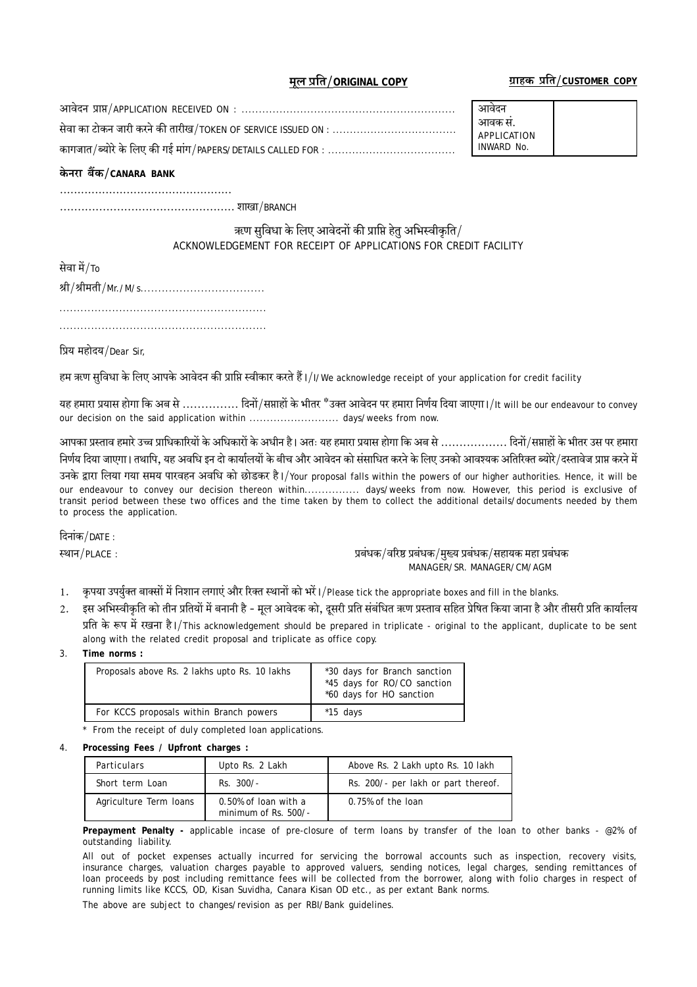#### मूल प्रति/ORIGINAL COPY

#### ग्राहक प्रति/CUSTOMER COPY

#### केनरा बैंक/CANARA BANK

#### ऋण सुविधा के लिए आवेदनों की प्राप्ति हेतु अभिस्वीकृति/ ACKNOWLEDGEMENT FOR RECEIPT OF APPLICATIONS FOR CREDIT FACILITY

सेवा में/To

| श्री / श्रीमती / Mr. /M/s…………………………… |  |  |
|--------------------------------------|--|--|
|                                      |  |  |

प्रिय महोदय/Dear Sir,

हम ऋण सुविधा के लिए आपके आवेदन की प्राप्ति स्वीकार करते हैं।/I/We acknowledge receipt of your application for credit facility

यह हमारा प्रयास होगा कि अब से ............... दिनों/सप्ताहों के भीतर \*उक्त आवेदन पर हमारा निर्णय दिया जाएगा।/It will be our endeavour to convey 

आपका प्रस्ताव हमारे उच्च प्राधिकारियों के अधिकारों के अधीन है। अतः यह हमारा प्रयास होगा कि अब से .................. दिनों/सप्ताहों के भीतर उस पर हमारा निर्णय दिया जाएगा। तथापि, यह अवधि इन दो कार्यालयों के बीच और आवेदन को संसाधित करने के लिए उनको आवश्यक अतिरिक्त ब्योरे/दस्तावेज प्राप्त करने में

उनके द्वारा लिया गया समय पारवहन अवधि को छोडकर है।/Your proposal falls within the powers of our higher authorities. Hence, it will be our endeavour to convey our decision thereon within............... days/weeks from now. However, this period is exclusive of transit period between these two offices and the time taken by them to collect the additional details/documents needed by them to process the application.

दिनांक/DATE: स्थान/PLACE:

प्रबंधक/वरिष्ठ प्रबंधक/मुख्य प्रबंधक/सहायक महा प्रबंधक MANAGER/SR. MANAGER/CM/AGM

- कृपया उपर्युक्त बाक्सों में निशान लगाएं और रिक्त स्थानों को भरें।/Please tick the appropriate boxes and fill in the blanks.  $1<sub>1</sub>$
- इस अभिस्वीकृति को तीन प्रतियों में बनानी है मूल आवेदक को, दूसरी प्रति संबंधित ऋण प्रस्ताव सहित प्रेषित किया जाना है और तीसरी प्रति कार्यालय  $\overline{2}$ . प्रति के रूप में रखना है।/This acknowledgement should be prepared in triplicate - original to the applicant, duplicate to be sent along with the related credit proposal and triplicate as office copy.
- $\mathbf{c}$ Time norms :

| Proposals above Rs. 2 lakhs upto Rs. 10 lakhs | *30 days for Branch sanction<br>*45 days for RO/CO sanction<br>*60 days for HO sanction |
|-----------------------------------------------|-----------------------------------------------------------------------------------------|
| For KCCS proposals within Branch powers       | $*15$ davs                                                                              |

From the receipt of duly completed loan applications.

Processing Fees / Upfront charges :  $\overline{4}$ .

| <b>Particulars</b>     | Upto Rs. 2 Lakh                              | Above Rs. 2 Lakh upto Rs. 10 lakh   |
|------------------------|----------------------------------------------|-------------------------------------|
| Short term Loan        | Rs. 300/-                                    | Rs. 200/- per lakh or part thereof. |
| Agriculture Term Ioans | 0.50% of loan with a<br>minimum of Rs. 500/- | 0.75% of the loan                   |

Prepayment Penalty - applicable incase of pre-closure of term loans by transfer of the loan to other banks - @2% of outstanding liability.

All out of pocket expenses actually incurred for servicing the borrowal accounts such as inspection, recovery visits, insurance charges, valuation charges payable to approved valuers, sending notices, legal charges, sending remittances of loan proceeds by post including remittance fees will be collected from the borrower, along with folio charges in respect of running limits like KCCS, OD, Kisan Suvidha, Canara Kisan OD etc., as per extant Bank norms.

The above are subject to changes/revision as per RBI/Bank guidelines.